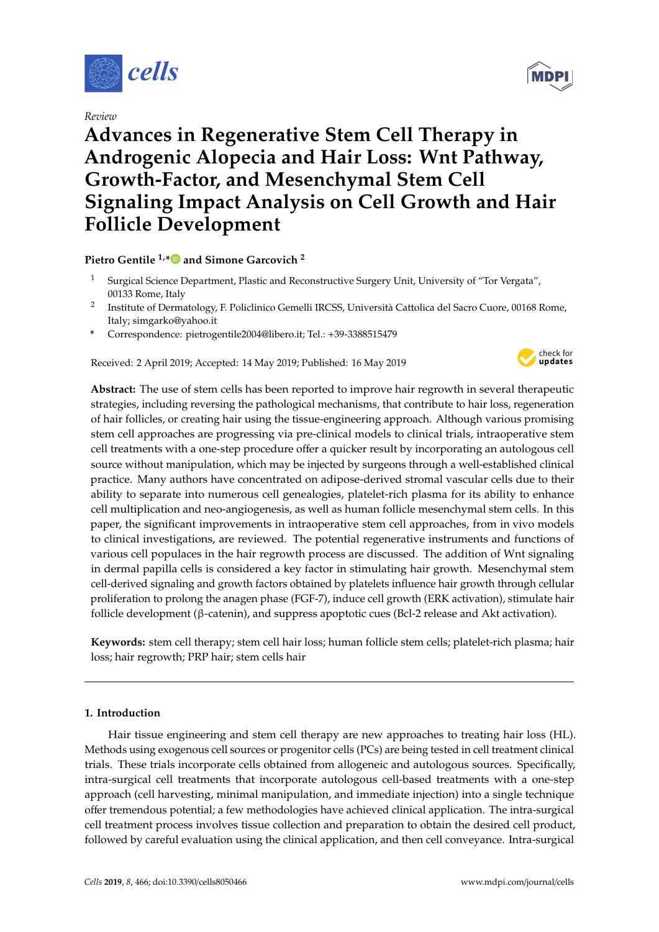

*Review*

# **Advances in Regenerative Stem Cell Therapy in Androgenic Alopecia and Hair Loss: Wnt Pathway, Growth-Factor, and Mesenchymal Stem Cell Signaling Impact Analysis on Cell Growth and Hair Follicle Development**

**Pietro Gentile 1,[\\*](https://orcid.org/0000-0003-3123-3977) and Simone Garcovich <sup>2</sup>**

- <sup>1</sup> Surgical Science Department, Plastic and Reconstructive Surgery Unit, University of "Tor Vergata", 00133 Rome, Italy
- 2 Institute of Dermatology, F. Policlinico Gemelli IRCSS, Università Cattolica del Sacro Cuore, 00168 Rome, Italy; simgarko@yahoo.it
- **\*** Correspondence: pietrogentile2004@libero.it; Tel.: +39-3388515479

Received: 2 April 2019; Accepted: 14 May 2019; Published: 16 May 2019



**Abstract:** The use of stem cells has been reported to improve hair regrowth in several therapeutic strategies, including reversing the pathological mechanisms, that contribute to hair loss, regeneration of hair follicles, or creating hair using the tissue-engineering approach. Although various promising stem cell approaches are progressing via pre-clinical models to clinical trials, intraoperative stem cell treatments with a one-step procedure offer a quicker result by incorporating an autologous cell source without manipulation, which may be injected by surgeons through a well-established clinical practice. Many authors have concentrated on adipose-derived stromal vascular cells due to their ability to separate into numerous cell genealogies, platelet-rich plasma for its ability to enhance cell multiplication and neo-angiogenesis, as well as human follicle mesenchymal stem cells. In this paper, the significant improvements in intraoperative stem cell approaches, from in vivo models to clinical investigations, are reviewed. The potential regenerative instruments and functions of various cell populaces in the hair regrowth process are discussed. The addition of Wnt signaling in dermal papilla cells is considered a key factor in stimulating hair growth. Mesenchymal stem cell-derived signaling and growth factors obtained by platelets influence hair growth through cellular proliferation to prolong the anagen phase (FGF-7), induce cell growth (ERK activation), stimulate hair follicle development (β-catenin), and suppress apoptotic cues (Bcl-2 release and Akt activation).

**Keywords:** stem cell therapy; stem cell hair loss; human follicle stem cells; platelet-rich plasma; hair loss; hair regrowth; PRP hair; stem cells hair

# **1. Introduction**

Hair tissue engineering and stem cell therapy are new approaches to treating hair loss (HL). Methods using exogenous cell sources or progenitor cells (PCs) are being tested in cell treatment clinical trials. These trials incorporate cells obtained from allogeneic and autologous sources. Specifically, intra-surgical cell treatments that incorporate autologous cell-based treatments with a one-step approach (cell harvesting, minimal manipulation, and immediate injection) into a single technique offer tremendous potential; a few methodologies have achieved clinical application. The intra-surgical cell treatment process involves tissue collection and preparation to obtain the desired cell product, followed by careful evaluation using the clinical application, and then cell conveyance. Intra-surgical

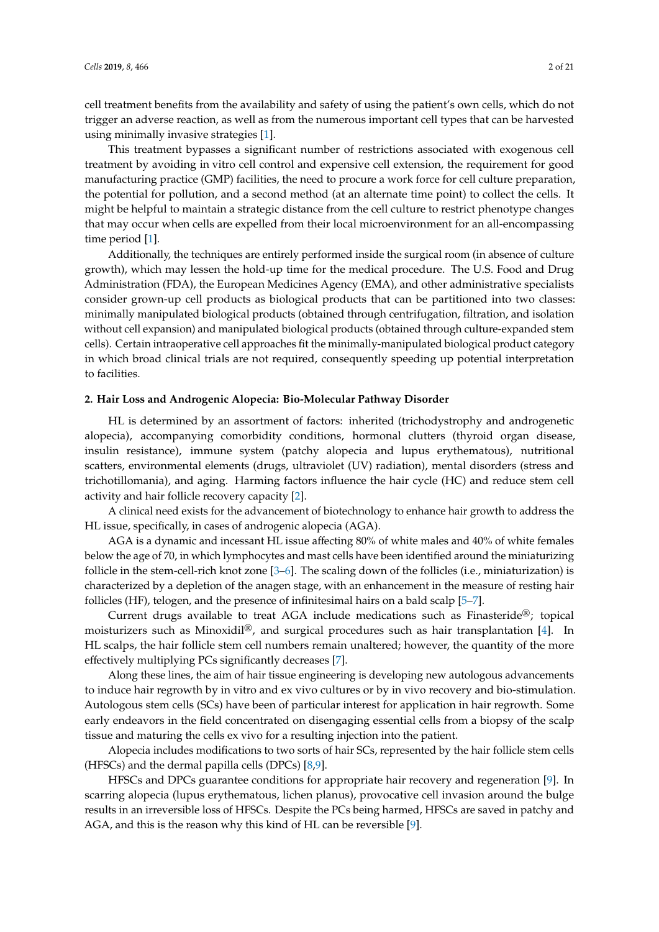cell treatment benefits from the availability and safety of using the patient's own cells, which do not trigger an adverse reaction, as well as from the numerous important cell types that can be harvested using minimally invasive strategies [\[1\]](#page-14-0).

This treatment bypasses a significant number of restrictions associated with exogenous cell treatment by avoiding in vitro cell control and expensive cell extension, the requirement for good manufacturing practice (GMP) facilities, the need to procure a work force for cell culture preparation, the potential for pollution, and a second method (at an alternate time point) to collect the cells. It might be helpful to maintain a strategic distance from the cell culture to restrict phenotype changes that may occur when cells are expelled from their local microenvironment for an all-encompassing time period [\[1\]](#page-14-0).

Additionally, the techniques are entirely performed inside the surgical room (in absence of culture growth), which may lessen the hold-up time for the medical procedure. The U.S. Food and Drug Administration (FDA), the European Medicines Agency (EMA), and other administrative specialists consider grown-up cell products as biological products that can be partitioned into two classes: minimally manipulated biological products (obtained through centrifugation, filtration, and isolation without cell expansion) and manipulated biological products (obtained through culture-expanded stem cells). Certain intraoperative cell approaches fit the minimally-manipulated biological product category in which broad clinical trials are not required, consequently speeding up potential interpretation to facilities.

#### **2. Hair Loss and Androgenic Alopecia: Bio-Molecular Pathway Disorder**

HL is determined by an assortment of factors: inherited (trichodystrophy and androgenetic alopecia), accompanying comorbidity conditions, hormonal clutters (thyroid organ disease, insulin resistance), immune system (patchy alopecia and lupus erythematous), nutritional scatters, environmental elements (drugs, ultraviolet (UV) radiation), mental disorders (stress and trichotillomania), and aging. Harming factors influence the hair cycle (HC) and reduce stem cell activity and hair follicle recovery capacity [\[2\]](#page-14-1).

A clinical need exists for the advancement of biotechnology to enhance hair growth to address the HL issue, specifically, in cases of androgenic alopecia (AGA).

AGA is a dynamic and incessant HL issue affecting 80% of white males and 40% of white females below the age of 70, in which lymphocytes and mast cells have been identified around the miniaturizing follicle in the stem-cell-rich knot zone [\[3](#page-14-2)[–6\]](#page-14-3). The scaling down of the follicles (i.e., miniaturization) is characterized by a depletion of the anagen stage, with an enhancement in the measure of resting hair follicles (HF), telogen, and the presence of infinitesimal hairs on a bald scalp [\[5](#page-14-4)[–7\]](#page-14-5).

Current drugs available to treat AGA include medications such as Finasteride<sup>®</sup>; topical moisturizers such as Minoxidil®, and surgical procedures such as hair transplantation [\[4\]](#page-14-6). In HL scalps, the hair follicle stem cell numbers remain unaltered; however, the quantity of the more effectively multiplying PCs significantly decreases [\[7\]](#page-14-5).

Along these lines, the aim of hair tissue engineering is developing new autologous advancements to induce hair regrowth by in vitro and ex vivo cultures or by in vivo recovery and bio-stimulation. Autologous stem cells (SCs) have been of particular interest for application in hair regrowth. Some early endeavors in the field concentrated on disengaging essential cells from a biopsy of the scalp tissue and maturing the cells ex vivo for a resulting injection into the patient.

Alopecia includes modifications to two sorts of hair SCs, represented by the hair follicle stem cells (HFSCs) and the dermal papilla cells (DPCs)  $[8,9]$  $[8,9]$ .

HFSCs and DPCs guarantee conditions for appropriate hair recovery and regeneration [\[9\]](#page-14-8). In scarring alopecia (lupus erythematous, lichen planus), provocative cell invasion around the bulge results in an irreversible loss of HFSCs. Despite the PCs being harmed, HFSCs are saved in patchy and AGA, and this is the reason why this kind of HL can be reversible [\[9\]](#page-14-8).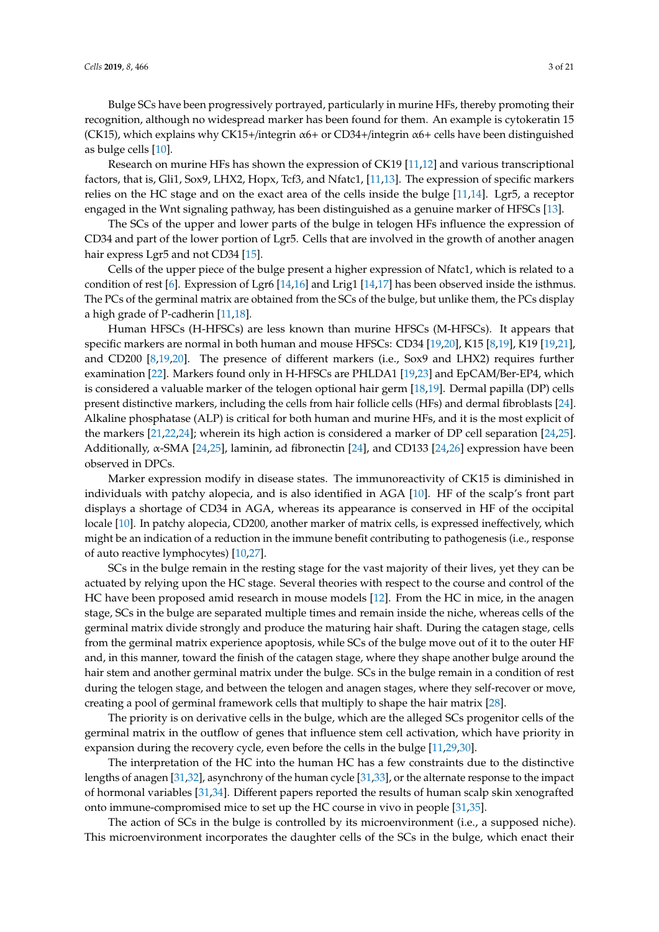Bulge SCs have been progressively portrayed, particularly in murine HFs, thereby promoting their recognition, although no widespread marker has been found for them. An example is cytokeratin 15 (CK15), which explains why CK15+/integrin  $\alpha$ 6+ or CD34+/integrin  $\alpha$ 6+ cells have been distinguished as bulge cells [\[10\]](#page-14-9).

Research on murine HFs has shown the expression of CK19 [\[11,](#page-14-10)[12\]](#page-14-11) and various transcriptional factors, that is, Gli1, Sox9, LHX2, Hopx, Tcf3, and Nfatc1, [\[11](#page-14-10)[,13\]](#page-14-12). The expression of specific markers relies on the HC stage and on the exact area of the cells inside the bulge [\[11](#page-14-10)[,14\]](#page-14-13). Lgr5, a receptor engaged in the Wnt signaling pathway, has been distinguished as a genuine marker of HFSCs [\[13\]](#page-14-12).

The SCs of the upper and lower parts of the bulge in telogen HFs influence the expression of CD34 and part of the lower portion of Lgr5. Cells that are involved in the growth of another anagen hair express Lgr5 and not CD34 [\[15\]](#page-14-14).

Cells of the upper piece of the bulge present a higher expression of Nfatc1, which is related to a condition of rest [\[6\]](#page-14-3). Expression of Lgr6 [\[14,](#page-14-13)[16\]](#page-14-15) and Lrig1 [\[14](#page-14-13)[,17\]](#page-14-16) has been observed inside the isthmus. The PCs of the germinal matrix are obtained from the SCs of the bulge, but unlike them, the PCs display a high grade of P-cadherin [\[11](#page-14-10)[,18\]](#page-14-17).

Human HFSCs (H-HFSCs) are less known than murine HFSCs (M-HFSCs). It appears that specific markers are normal in both human and mouse HFSCs: CD34 [\[19,](#page-14-18)[20\]](#page-14-19), K15 [\[8,](#page-14-7)[19\]](#page-14-18), K19 [\[19,](#page-14-18)[21\]](#page-15-0), and CD200  $[8,19,20]$  $[8,19,20]$  $[8,19,20]$ . The presence of different markers (i.e., Sox9 and LHX2) requires further examination [\[22\]](#page-15-1). Markers found only in H-HFSCs are PHLDA1 [\[19](#page-14-18)[,23\]](#page-15-2) and EpCAM/Ber-EP4, which is considered a valuable marker of the telogen optional hair germ [\[18](#page-14-17)[,19\]](#page-14-18). Dermal papilla (DP) cells present distinctive markers, including the cells from hair follicle cells (HFs) and dermal fibroblasts [\[24\]](#page-15-3). Alkaline phosphatase (ALP) is critical for both human and murine HFs, and it is the most explicit of the markers [\[21](#page-15-0)[,22,](#page-15-1)[24\]](#page-15-3); wherein its high action is considered a marker of DP cell separation [\[24,](#page-15-3)[25\]](#page-15-4). Additionally, α-SMA [\[24,](#page-15-3)[25\]](#page-15-4), laminin, ad fibronectin [\[24\]](#page-15-3), and CD133 [\[24](#page-15-3)[,26\]](#page-15-5) expression have been observed in DPCs.

Marker expression modify in disease states. The immunoreactivity of CK15 is diminished in individuals with patchy alopecia, and is also identified in AGA [\[10\]](#page-14-9). HF of the scalp's front part displays a shortage of CD34 in AGA, whereas its appearance is conserved in HF of the occipital locale [\[10\]](#page-14-9). In patchy alopecia, CD200, another marker of matrix cells, is expressed ineffectively, which might be an indication of a reduction in the immune benefit contributing to pathogenesis (i.e., response of auto reactive lymphocytes) [\[10,](#page-14-9)[27\]](#page-15-6).

SCs in the bulge remain in the resting stage for the vast majority of their lives, yet they can be actuated by relying upon the HC stage. Several theories with respect to the course and control of the HC have been proposed amid research in mouse models [\[12\]](#page-14-11). From the HC in mice, in the anagen stage, SCs in the bulge are separated multiple times and remain inside the niche, whereas cells of the germinal matrix divide strongly and produce the maturing hair shaft. During the catagen stage, cells from the germinal matrix experience apoptosis, while SCs of the bulge move out of it to the outer HF and, in this manner, toward the finish of the catagen stage, where they shape another bulge around the hair stem and another germinal matrix under the bulge. SCs in the bulge remain in a condition of rest during the telogen stage, and between the telogen and anagen stages, where they self-recover or move, creating a pool of germinal framework cells that multiply to shape the hair matrix [\[28\]](#page-15-7).

The priority is on derivative cells in the bulge, which are the alleged SCs progenitor cells of the germinal matrix in the outflow of genes that influence stem cell activation, which have priority in expansion during the recovery cycle, even before the cells in the bulge [\[11](#page-14-10)[,29](#page-15-8)[,30\]](#page-15-9).

The interpretation of the HC into the human HC has a few constraints due to the distinctive lengths of anagen [\[31](#page-15-10)[,32\]](#page-15-11), asynchrony of the human cycle [\[31,](#page-15-10)[33\]](#page-15-12), or the alternate response to the impact of hormonal variables [\[31](#page-15-10)[,34\]](#page-15-13). Different papers reported the results of human scalp skin xenografted onto immune-compromised mice to set up the HC course in vivo in people [\[31](#page-15-10)[,35\]](#page-15-14).

The action of SCs in the bulge is controlled by its microenvironment (i.e., a supposed niche). This microenvironment incorporates the daughter cells of the SCs in the bulge, which enact their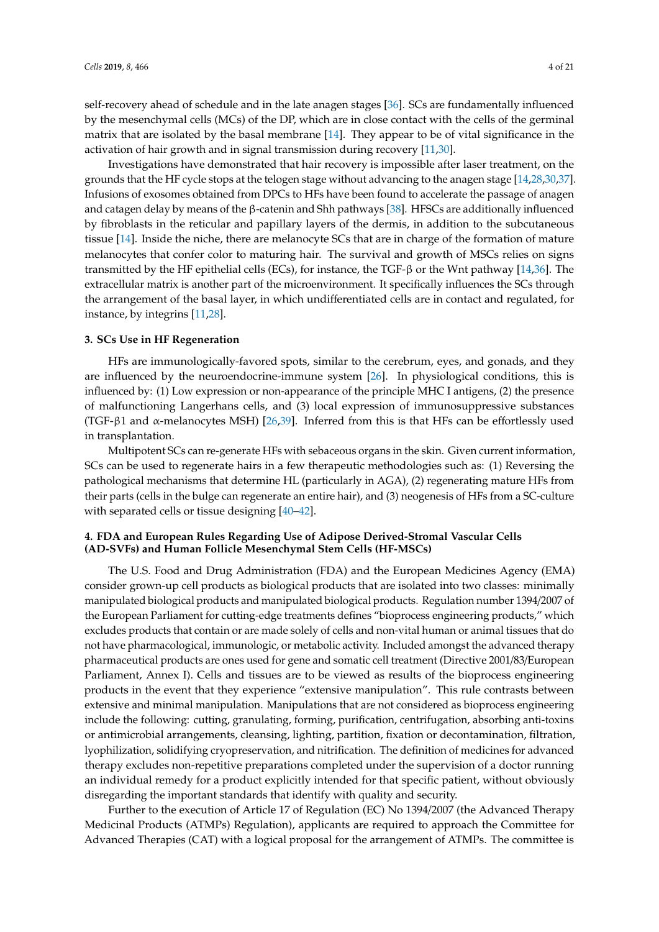self-recovery ahead of schedule and in the late anagen stages [\[36\]](#page-15-15). SCs are fundamentally influenced by the mesenchymal cells (MCs) of the DP, which are in close contact with the cells of the germinal matrix that are isolated by the basal membrane [\[14\]](#page-14-13). They appear to be of vital significance in the activation of hair growth and in signal transmission during recovery [\[11,](#page-14-10)[30\]](#page-15-9).

Investigations have demonstrated that hair recovery is impossible after laser treatment, on the grounds that the HF cycle stops at the telogen stage without advancing to the anagen stage [\[14,](#page-14-13)[28](#page-15-7)[,30](#page-15-9)[,37\]](#page-15-16). Infusions of exosomes obtained from DPCs to HFs have been found to accelerate the passage of anagen and catagen delay by means of the β-catenin and Shh pathways [\[38\]](#page-15-17). HFSCs are additionally influenced by fibroblasts in the reticular and papillary layers of the dermis, in addition to the subcutaneous tissue [\[14\]](#page-14-13). Inside the niche, there are melanocyte SCs that are in charge of the formation of mature melanocytes that confer color to maturing hair. The survival and growth of MSCs relies on signs transmitted by the HF epithelial cells (ECs), for instance, the TGF-β or the Wnt pathway [\[14,](#page-14-13)[36\]](#page-15-15). The extracellular matrix is another part of the microenvironment. It specifically influences the SCs through the arrangement of the basal layer, in which undifferentiated cells are in contact and regulated, for instance, by integrins [\[11,](#page-14-10)[28\]](#page-15-7).

#### **3. SCs Use in HF Regeneration**

HFs are immunologically-favored spots, similar to the cerebrum, eyes, and gonads, and they are influenced by the neuroendocrine-immune system [\[26\]](#page-15-5). In physiological conditions, this is influenced by: (1) Low expression or non-appearance of the principle MHC I antigens, (2) the presence of malfunctioning Langerhans cells, and (3) local expression of immunosuppressive substances (TGF- $\beta$ 1 and  $\alpha$ -melanocytes MSH) [\[26,](#page-15-5)[39\]](#page-15-18). Inferred from this is that HFs can be effortlessly used in transplantation.

Multipotent SCs can re-generate HFs with sebaceous organs in the skin. Given current information, SCs can be used to regenerate hairs in a few therapeutic methodologies such as: (1) Reversing the pathological mechanisms that determine HL (particularly in AGA), (2) regenerating mature HFs from their parts (cells in the bulge can regenerate an entire hair), and (3) neogenesis of HFs from a SC-culture with separated cells or tissue designing [\[40](#page-15-19)[–42\]](#page-15-20).

# **4. FDA and European Rules Regarding Use of Adipose Derived-Stromal Vascular Cells (AD-SVFs) and Human Follicle Mesenchymal Stem Cells (HF-MSCs)**

The U.S. Food and Drug Administration (FDA) and the European Medicines Agency (EMA) consider grown-up cell products as biological products that are isolated into two classes: minimally manipulated biological products and manipulated biological products. Regulation number 1394/2007 of the European Parliament for cutting-edge treatments defines "bioprocess engineering products," which excludes products that contain or are made solely of cells and non-vital human or animal tissues that do not have pharmacological, immunologic, or metabolic activity. Included amongst the advanced therapy pharmaceutical products are ones used for gene and somatic cell treatment (Directive 2001/83/European Parliament, Annex I). Cells and tissues are to be viewed as results of the bioprocess engineering products in the event that they experience "extensive manipulation". This rule contrasts between extensive and minimal manipulation. Manipulations that are not considered as bioprocess engineering include the following: cutting, granulating, forming, purification, centrifugation, absorbing anti-toxins or antimicrobial arrangements, cleansing, lighting, partition, fixation or decontamination, filtration, lyophilization, solidifying cryopreservation, and nitrification. The definition of medicines for advanced therapy excludes non-repetitive preparations completed under the supervision of a doctor running an individual remedy for a product explicitly intended for that specific patient, without obviously disregarding the important standards that identify with quality and security.

Further to the execution of Article 17 of Regulation (EC) No 1394/2007 (the Advanced Therapy Medicinal Products (ATMPs) Regulation), applicants are required to approach the Committee for Advanced Therapies (CAT) with a logical proposal for the arrangement of ATMPs. The committee is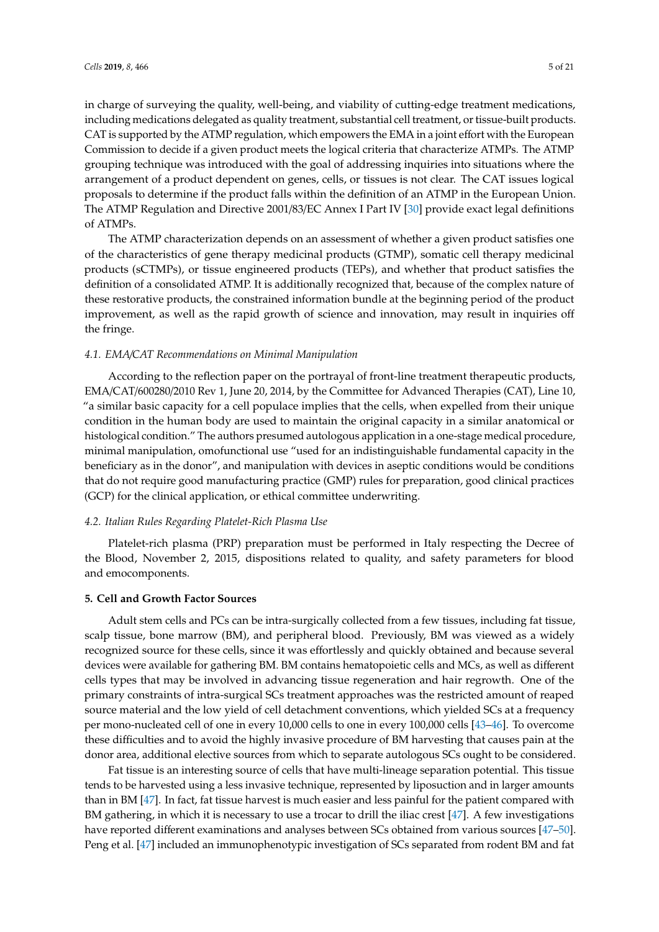in charge of surveying the quality, well-being, and viability of cutting-edge treatment medications, including medications delegated as quality treatment, substantial cell treatment, or tissue-built products. CAT is supported by the ATMP regulation, which empowers the EMA in a joint effort with the European Commission to decide if a given product meets the logical criteria that characterize ATMPs. The ATMP grouping technique was introduced with the goal of addressing inquiries into situations where the arrangement of a product dependent on genes, cells, or tissues is not clear. The CAT issues logical proposals to determine if the product falls within the definition of an ATMP in the European Union. The ATMP Regulation and Directive 2001/83/EC Annex I Part IV [\[30\]](#page-15-9) provide exact legal definitions of ATMPs.

The ATMP characterization depends on an assessment of whether a given product satisfies one of the characteristics of gene therapy medicinal products (GTMP), somatic cell therapy medicinal products (sCTMPs), or tissue engineered products (TEPs), and whether that product satisfies the definition of a consolidated ATMP. It is additionally recognized that, because of the complex nature of these restorative products, the constrained information bundle at the beginning period of the product improvement, as well as the rapid growth of science and innovation, may result in inquiries off the fringe.

#### *4.1. EMA*/*CAT Recommendations on Minimal Manipulation*

According to the reflection paper on the portrayal of front-line treatment therapeutic products, EMA/CAT/600280/2010 Rev 1, June 20, 2014, by the Committee for Advanced Therapies (CAT), Line 10, "a similar basic capacity for a cell populace implies that the cells, when expelled from their unique condition in the human body are used to maintain the original capacity in a similar anatomical or histological condition." The authors presumed autologous application in a one-stage medical procedure, minimal manipulation, omofunctional use "used for an indistinguishable fundamental capacity in the beneficiary as in the donor", and manipulation with devices in aseptic conditions would be conditions that do not require good manufacturing practice (GMP) rules for preparation, good clinical practices (GCP) for the clinical application, or ethical committee underwriting.

# *4.2. Italian Rules Regarding Platelet-Rich Plasma Use*

Platelet-rich plasma (PRP) preparation must be performed in Italy respecting the Decree of the Blood, November 2, 2015, dispositions related to quality, and safety parameters for blood and emocomponents.

## **5. Cell and Growth Factor Sources**

Adult stem cells and PCs can be intra-surgically collected from a few tissues, including fat tissue, scalp tissue, bone marrow (BM), and peripheral blood. Previously, BM was viewed as a widely recognized source for these cells, since it was effortlessly and quickly obtained and because several devices were available for gathering BM. BM contains hematopoietic cells and MCs, as well as different cells types that may be involved in advancing tissue regeneration and hair regrowth. One of the primary constraints of intra-surgical SCs treatment approaches was the restricted amount of reaped source material and the low yield of cell detachment conventions, which yielded SCs at a frequency per mono-nucleated cell of one in every 10,000 cells to one in every 100,000 cells [\[43](#page-15-21)[–46\]](#page-16-0). To overcome these difficulties and to avoid the highly invasive procedure of BM harvesting that causes pain at the donor area, additional elective sources from which to separate autologous SCs ought to be considered.

Fat tissue is an interesting source of cells that have multi-lineage separation potential. This tissue tends to be harvested using a less invasive technique, represented by liposuction and in larger amounts than in BM [\[47\]](#page-16-1). In fact, fat tissue harvest is much easier and less painful for the patient compared with BM gathering, in which it is necessary to use a trocar to drill the iliac crest [\[47\]](#page-16-1). A few investigations have reported different examinations and analyses between SCs obtained from various sources [\[47–](#page-16-1)[50\]](#page-16-2). Peng et al. [\[47\]](#page-16-1) included an immunophenotypic investigation of SCs separated from rodent BM and fat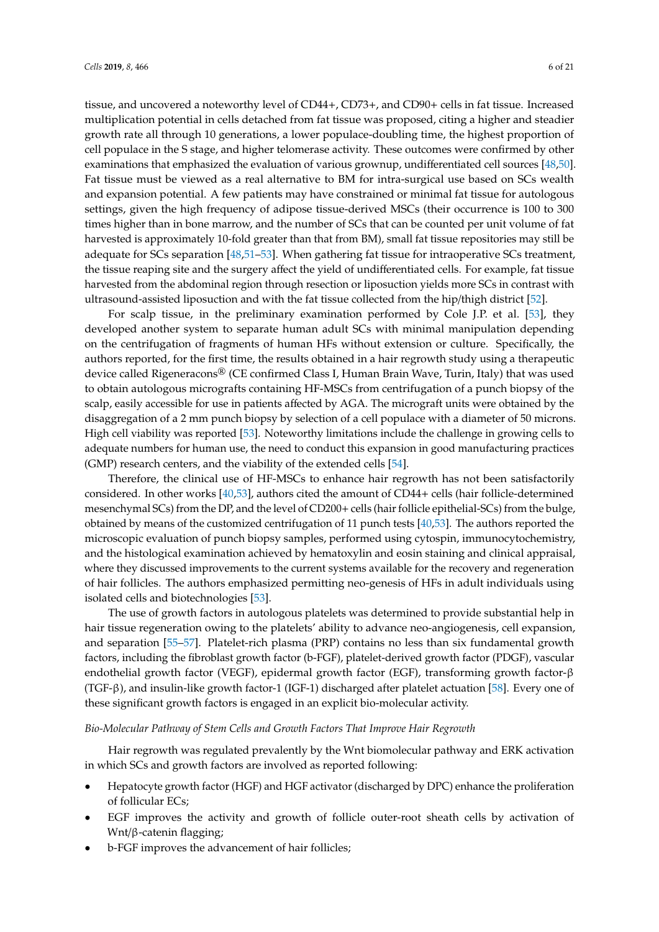tissue, and uncovered a noteworthy level of CD44+, CD73+, and CD90+ cells in fat tissue. Increased multiplication potential in cells detached from fat tissue was proposed, citing a higher and steadier growth rate all through 10 generations, a lower populace-doubling time, the highest proportion of cell populace in the S stage, and higher telomerase activity. These outcomes were confirmed by other examinations that emphasized the evaluation of various grownup, undifferentiated cell sources [\[48](#page-16-3)[,50\]](#page-16-2). Fat tissue must be viewed as a real alternative to BM for intra-surgical use based on SCs wealth and expansion potential. A few patients may have constrained or minimal fat tissue for autologous settings, given the high frequency of adipose tissue-derived MSCs (their occurrence is 100 to 300 times higher than in bone marrow, and the number of SCs that can be counted per unit volume of fat harvested is approximately 10-fold greater than that from BM), small fat tissue repositories may still be adequate for SCs separation [\[48,](#page-16-3)[51–](#page-16-4)[53\]](#page-16-5). When gathering fat tissue for intraoperative SCs treatment, the tissue reaping site and the surgery affect the yield of undifferentiated cells. For example, fat tissue harvested from the abdominal region through resection or liposuction yields more SCs in contrast with ultrasound-assisted liposuction and with the fat tissue collected from the hip/thigh district [\[52\]](#page-16-6).

For scalp tissue, in the preliminary examination performed by Cole J.P. et al. [\[53\]](#page-16-5), they developed another system to separate human adult SCs with minimal manipulation depending on the centrifugation of fragments of human HFs without extension or culture. Specifically, the authors reported, for the first time, the results obtained in a hair regrowth study using a therapeutic device called Rigeneracons® (CE confirmed Class I, Human Brain Wave, Turin, Italy) that was used to obtain autologous micrografts containing HF-MSCs from centrifugation of a punch biopsy of the scalp, easily accessible for use in patients affected by AGA. The micrograft units were obtained by the disaggregation of a 2 mm punch biopsy by selection of a cell populace with a diameter of 50 microns. High cell viability was reported [\[53\]](#page-16-5). Noteworthy limitations include the challenge in growing cells to adequate numbers for human use, the need to conduct this expansion in good manufacturing practices (GMP) research centers, and the viability of the extended cells [\[54\]](#page-16-7).

Therefore, the clinical use of HF-MSCs to enhance hair regrowth has not been satisfactorily considered. In other works [\[40,](#page-15-19)[53\]](#page-16-5), authors cited the amount of CD44+ cells (hair follicle-determined mesenchymal SCs) from the DP, and the level of CD200+ cells (hair follicle epithelial-SCs) from the bulge, obtained by means of the customized centrifugation of 11 punch tests [\[40,](#page-15-19)[53\]](#page-16-5). The authors reported the microscopic evaluation of punch biopsy samples, performed using cytospin, immunocytochemistry, and the histological examination achieved by hematoxylin and eosin staining and clinical appraisal, where they discussed improvements to the current systems available for the recovery and regeneration of hair follicles. The authors emphasized permitting neo-genesis of HFs in adult individuals using isolated cells and biotechnologies [\[53\]](#page-16-5).

The use of growth factors in autologous platelets was determined to provide substantial help in hair tissue regeneration owing to the platelets' ability to advance neo-angiogenesis, cell expansion, and separation [\[55–](#page-16-8)[57\]](#page-16-9). Platelet-rich plasma (PRP) contains no less than six fundamental growth factors, including the fibroblast growth factor (b-FGF), platelet-derived growth factor (PDGF), vascular endothelial growth factor (VEGF), epidermal growth factor (EGF), transforming growth factor-β (TGF-β), and insulin-like growth factor-1 (IGF-1) discharged after platelet actuation [\[58\]](#page-16-10). Every one of these significant growth factors is engaged in an explicit bio-molecular activity.

#### *Bio-Molecular Pathway of Stem Cells and Growth Factors That Improve Hair Regrowth*

Hair regrowth was regulated prevalently by the Wnt biomolecular pathway and ERK activation in which SCs and growth factors are involved as reported following:

- Hepatocyte growth factor (HGF) and HGF activator (discharged by DPC) enhance the proliferation of follicular ECs;
- EGF improves the activity and growth of follicle outer-root sheath cells by activation of Wnt/β-catenin flagging;
- b-FGF improves the advancement of hair follicles;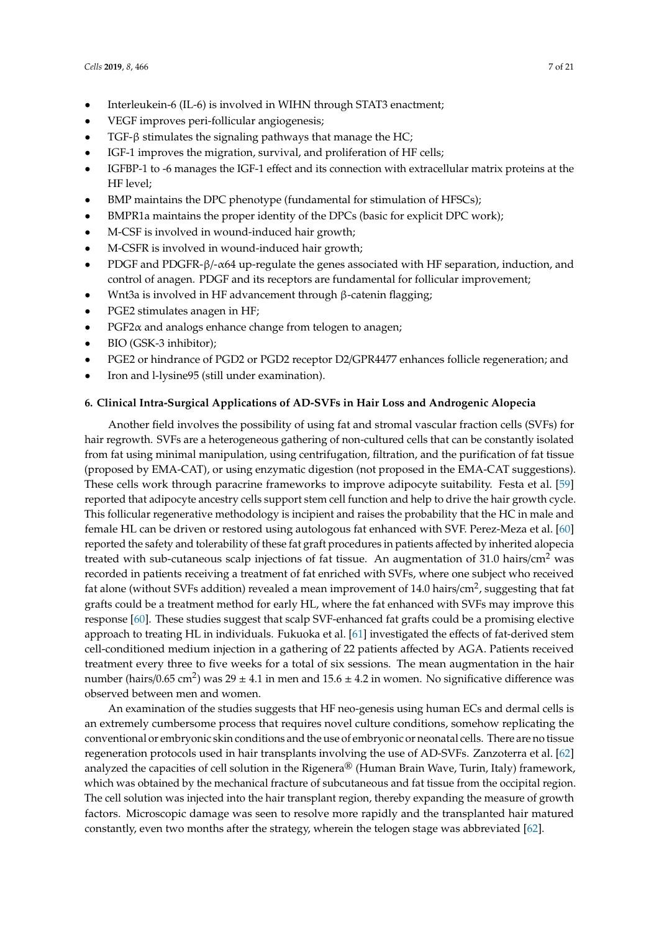- Interleukein-6 (IL-6) is involved in WIHN through STAT3 enactment;
- VEGF improves peri-follicular angiogenesis;
- TGF- $β$  stimulates the signaling pathways that manage the HC;
- IGF-1 improves the migration, survival, and proliferation of HF cells;
- IGFBP-1 to -6 manages the IGF-1 effect and its connection with extracellular matrix proteins at the HF level;
- BMP maintains the DPC phenotype (fundamental for stimulation of HFSCs);
- BMPR1a maintains the proper identity of the DPCs (basic for explicit DPC work);
- M-CSF is involved in wound-induced hair growth;
- M-CSFR is involved in wound-induced hair growth;
- PDGF and PDGFR-β/-α64 up-regulate the genes associated with HF separation, induction, and control of anagen. PDGF and its receptors are fundamental for follicular improvement;
- Wnt3a is involved in HF advancement through β-catenin flagging;
- PGE2 stimulates anagen in HF;
- $PGF2\alpha$  and analogs enhance change from telogen to anagen;
- BIO (GSK-3 inhibitor);
- PGE2 or hindrance of PGD2 or PGD2 receptor D2/GPR4477 enhances follicle regeneration; and
- Iron and l-lysine95 (still under examination).

#### **6. Clinical Intra-Surgical Applications of AD-SVFs in Hair Loss and Androgenic Alopecia**

Another field involves the possibility of using fat and stromal vascular fraction cells (SVFs) for hair regrowth. SVFs are a heterogeneous gathering of non-cultured cells that can be constantly isolated from fat using minimal manipulation, using centrifugation, filtration, and the purification of fat tissue (proposed by EMA-CAT), or using enzymatic digestion (not proposed in the EMA-CAT suggestions). These cells work through paracrine frameworks to improve adipocyte suitability. Festa et al. [\[59\]](#page-16-11) reported that adipocyte ancestry cells support stem cell function and help to drive the hair growth cycle. This follicular regenerative methodology is incipient and raises the probability that the HC in male and female HL can be driven or restored using autologous fat enhanced with SVF. Perez-Meza et al. [\[60\]](#page-16-12) reported the safety and tolerability of these fat graft procedures in patients affected by inherited alopecia treated with sub-cutaneous scalp injections of fat tissue. An augmentation of 31.0 hairs/cm<sup>2</sup> was recorded in patients receiving a treatment of fat enriched with SVFs, where one subject who received fat alone (without SVFs addition) revealed a mean improvement of 14.0 hairs/cm<sup>2</sup>, suggesting that fat grafts could be a treatment method for early HL, where the fat enhanced with SVFs may improve this response [\[60\]](#page-16-12). These studies suggest that scalp SVF-enhanced fat grafts could be a promising elective approach to treating HL in individuals. Fukuoka et al. [\[61\]](#page-16-13) investigated the effects of fat-derived stem cell-conditioned medium injection in a gathering of 22 patients affected by AGA. Patients received treatment every three to five weeks for a total of six sessions. The mean augmentation in the hair number (hairs/0.65 cm<sup>2</sup>) was 29 ± 4.1 in men and 15.6 ± 4.2 in women. No significative difference was observed between men and women.

An examination of the studies suggests that HF neo-genesis using human ECs and dermal cells is an extremely cumbersome process that requires novel culture conditions, somehow replicating the conventional or embryonic skin conditions and the use of embryonic or neonatal cells. There are no tissue regeneration protocols used in hair transplants involving the use of AD-SVFs. Zanzoterra et al. [\[62\]](#page-16-14) analyzed the capacities of cell solution in the Rigenera<sup>®</sup> (Human Brain Wave, Turin, Italy) framework, which was obtained by the mechanical fracture of subcutaneous and fat tissue from the occipital region. The cell solution was injected into the hair transplant region, thereby expanding the measure of growth factors. Microscopic damage was seen to resolve more rapidly and the transplanted hair matured constantly, even two months after the strategy, wherein the telogen stage was abbreviated [\[62\]](#page-16-14).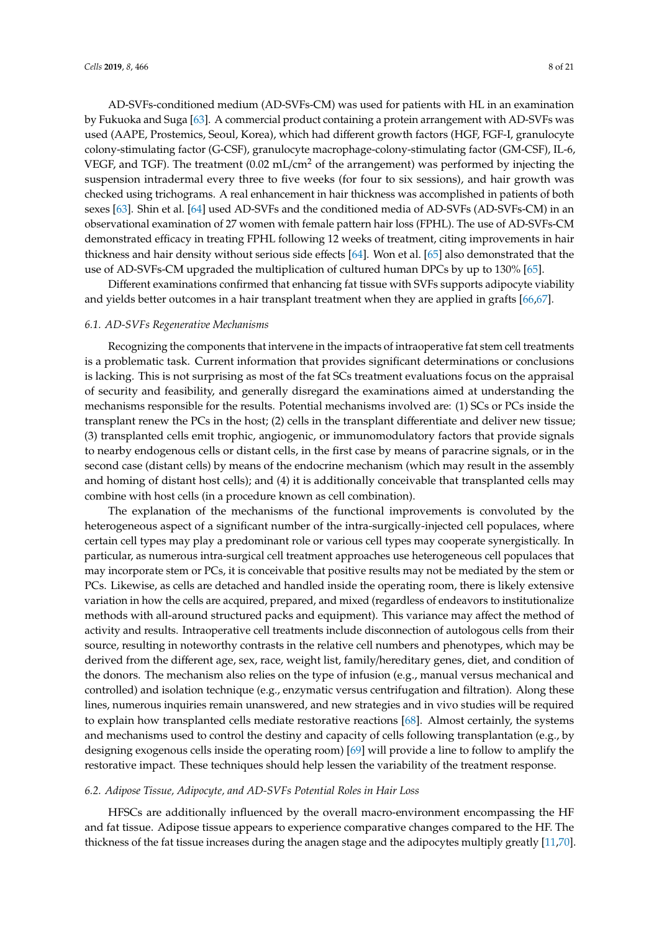AD-SVFs-conditioned medium (AD-SVFs-CM) was used for patients with HL in an examination by Fukuoka and Suga [\[63\]](#page-16-15). A commercial product containing a protein arrangement with AD-SVFs was used (AAPE, Prostemics, Seoul, Korea), which had different growth factors (HGF, FGF-I, granulocyte colony-stimulating factor (G-CSF), granulocyte macrophage-colony-stimulating factor (GM-CSF), IL-6, VEGF, and TGF). The treatment  $(0.02 \text{ mL/cm}^2$  of the arrangement) was performed by injecting the suspension intradermal every three to five weeks (for four to six sessions), and hair growth was checked using trichograms. A real enhancement in hair thickness was accomplished in patients of both sexes [\[63\]](#page-16-15). Shin et al. [\[64\]](#page-17-0) used AD-SVFs and the conditioned media of AD-SVFs (AD-SVFs-CM) in an observational examination of 27 women with female pattern hair loss (FPHL). The use of AD-SVFs-CM demonstrated efficacy in treating FPHL following 12 weeks of treatment, citing improvements in hair thickness and hair density without serious side effects [\[64\]](#page-17-0). Won et al. [\[65\]](#page-17-1) also demonstrated that the use of AD-SVFs-CM upgraded the multiplication of cultured human DPCs by up to 130% [\[65\]](#page-17-1).

Different examinations confirmed that enhancing fat tissue with SVFs supports adipocyte viability and yields better outcomes in a hair transplant treatment when they are applied in grafts [\[66](#page-17-2)[,67\]](#page-17-3).

#### *6.1. AD-SVFs Regenerative Mechanisms*

Recognizing the components that intervene in the impacts of intraoperative fat stem cell treatments is a problematic task. Current information that provides significant determinations or conclusions is lacking. This is not surprising as most of the fat SCs treatment evaluations focus on the appraisal of security and feasibility, and generally disregard the examinations aimed at understanding the mechanisms responsible for the results. Potential mechanisms involved are: (1) SCs or PCs inside the transplant renew the PCs in the host; (2) cells in the transplant differentiate and deliver new tissue; (3) transplanted cells emit trophic, angiogenic, or immunomodulatory factors that provide signals to nearby endogenous cells or distant cells, in the first case by means of paracrine signals, or in the second case (distant cells) by means of the endocrine mechanism (which may result in the assembly and homing of distant host cells); and (4) it is additionally conceivable that transplanted cells may combine with host cells (in a procedure known as cell combination).

The explanation of the mechanisms of the functional improvements is convoluted by the heterogeneous aspect of a significant number of the intra-surgically-injected cell populaces, where certain cell types may play a predominant role or various cell types may cooperate synergistically. In particular, as numerous intra-surgical cell treatment approaches use heterogeneous cell populaces that may incorporate stem or PCs, it is conceivable that positive results may not be mediated by the stem or PCs. Likewise, as cells are detached and handled inside the operating room, there is likely extensive variation in how the cells are acquired, prepared, and mixed (regardless of endeavors to institutionalize methods with all-around structured packs and equipment). This variance may affect the method of activity and results. Intraoperative cell treatments include disconnection of autologous cells from their source, resulting in noteworthy contrasts in the relative cell numbers and phenotypes, which may be derived from the different age, sex, race, weight list, family/hereditary genes, diet, and condition of the donors. The mechanism also relies on the type of infusion (e.g., manual versus mechanical and controlled) and isolation technique (e.g., enzymatic versus centrifugation and filtration). Along these lines, numerous inquiries remain unanswered, and new strategies and in vivo studies will be required to explain how transplanted cells mediate restorative reactions [\[68\]](#page-17-4). Almost certainly, the systems and mechanisms used to control the destiny and capacity of cells following transplantation (e.g., by designing exogenous cells inside the operating room) [\[69\]](#page-17-5) will provide a line to follow to amplify the restorative impact. These techniques should help lessen the variability of the treatment response.

#### *6.2. Adipose Tissue, Adipocyte, and AD-SVFs Potential Roles in Hair Loss*

HFSCs are additionally influenced by the overall macro-environment encompassing the HF and fat tissue. Adipose tissue appears to experience comparative changes compared to the HF. The thickness of the fat tissue increases during the anagen stage and the adipocytes multiply greatly [\[11](#page-14-10)[,70\]](#page-17-6).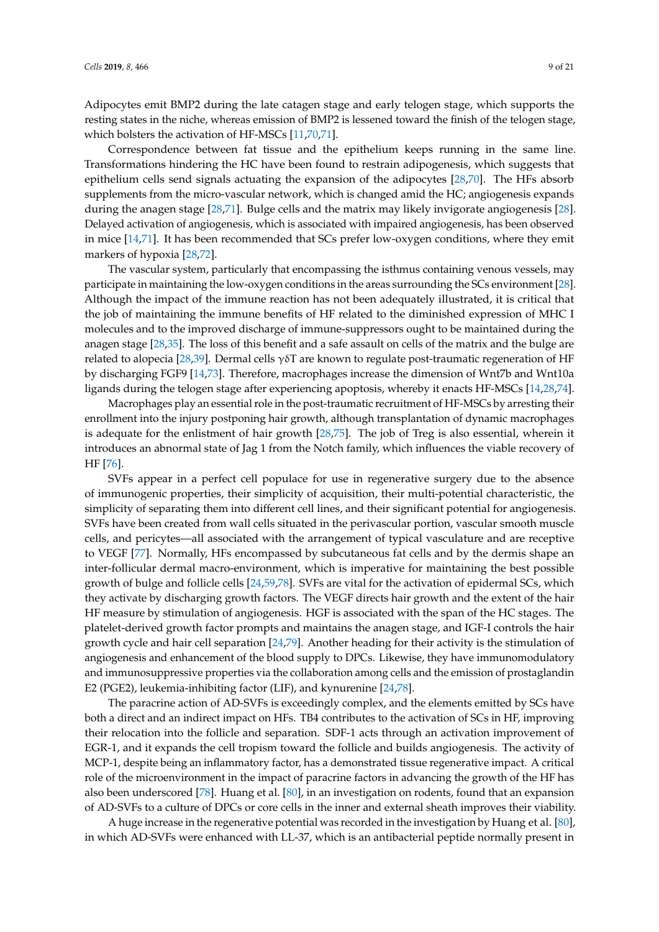Adipocytes emit BMP2 during the late catagen stage and early telogen stage, which supports the resting states in the niche, whereas emission of BMP2 is lessened toward the finish of the telogen stage, which bolsters the activation of HF-MSCs [\[11,](#page-14-10)[70](#page-17-6)[,71\]](#page-17-7).

Correspondence between fat tissue and the epithelium keeps running in the same line. Transformations hindering the HC have been found to restrain adipogenesis, which suggests that epithelium cells send signals actuating the expansion of the adipocytes [\[28,](#page-15-7)[70\]](#page-17-6). The HFs absorb supplements from the micro-vascular network, which is changed amid the HC; angiogenesis expands during the anagen stage [\[28](#page-15-7)[,71\]](#page-17-7). Bulge cells and the matrix may likely invigorate angiogenesis [\[28\]](#page-15-7). Delayed activation of angiogenesis, which is associated with impaired angiogenesis, has been observed in mice [\[14,](#page-14-13)[71\]](#page-17-7). It has been recommended that SCs prefer low-oxygen conditions, where they emit markers of hypoxia [\[28,](#page-15-7)[72\]](#page-17-8).

The vascular system, particularly that encompassing the isthmus containing venous vessels, may participate in maintaining the low-oxygen conditions in the areas surrounding the SCs environment [\[28\]](#page-15-7). Although the impact of the immune reaction has not been adequately illustrated, it is critical that the job of maintaining the immune benefits of HF related to the diminished expression of MHC I molecules and to the improved discharge of immune-suppressors ought to be maintained during the anagen stage [\[28](#page-15-7)[,35\]](#page-15-14). The loss of this benefit and a safe assault on cells of the matrix and the bulge are related to alopecia [\[28](#page-15-7)[,39\]](#page-15-18). Dermal cells  $\gamma \delta T$  are known to regulate post-traumatic regeneration of HF by discharging FGF9 [\[14](#page-14-13)[,73\]](#page-17-9). Therefore, macrophages increase the dimension of Wnt7b and Wnt10a ligands during the telogen stage after experiencing apoptosis, whereby it enacts HF-MSCs [\[14](#page-14-13)[,28](#page-15-7)[,74\]](#page-17-10).

Macrophages play an essential role in the post-traumatic recruitment of HF-MSCs by arresting their enrollment into the injury postponing hair growth, although transplantation of dynamic macrophages is adequate for the enlistment of hair growth [\[28,](#page-15-7)[75\]](#page-17-11). The job of Treg is also essential, wherein it introduces an abnormal state of Jag 1 from the Notch family, which influences the viable recovery of HF [\[76\]](#page-17-12).

SVFs appear in a perfect cell populace for use in regenerative surgery due to the absence of immunogenic properties, their simplicity of acquisition, their multi-potential characteristic, the simplicity of separating them into different cell lines, and their significant potential for angiogenesis. SVFs have been created from wall cells situated in the perivascular portion, vascular smooth muscle cells, and pericytes—all associated with the arrangement of typical vasculature and are receptive to VEGF [\[77\]](#page-17-13). Normally, HFs encompassed by subcutaneous fat cells and by the dermis shape an inter-follicular dermal macro-environment, which is imperative for maintaining the best possible growth of bulge and follicle cells [\[24,](#page-15-3)[59,](#page-16-11)[78\]](#page-17-14). SVFs are vital for the activation of epidermal SCs, which they activate by discharging growth factors. The VEGF directs hair growth and the extent of the hair HF measure by stimulation of angiogenesis. HGF is associated with the span of the HC stages. The platelet-derived growth factor prompts and maintains the anagen stage, and IGF-I controls the hair growth cycle and hair cell separation [\[24,](#page-15-3)[79\]](#page-17-15). Another heading for their activity is the stimulation of angiogenesis and enhancement of the blood supply to DPCs. Likewise, they have immunomodulatory and immunosuppressive properties via the collaboration among cells and the emission of prostaglandin E2 (PGE2), leukemia-inhibiting factor (LIF), and kynurenine [\[24](#page-15-3)[,78\]](#page-17-14).

The paracrine action of AD-SVFs is exceedingly complex, and the elements emitted by SCs have both a direct and an indirect impact on HFs. TB4 contributes to the activation of SCs in HF, improving their relocation into the follicle and separation. SDF-1 acts through an activation improvement of EGR-1, and it expands the cell tropism toward the follicle and builds angiogenesis. The activity of MCP-1, despite being an inflammatory factor, has a demonstrated tissue regenerative impact. A critical role of the microenvironment in the impact of paracrine factors in advancing the growth of the HF has also been underscored [\[78\]](#page-17-14). Huang et al. [\[80\]](#page-17-16), in an investigation on rodents, found that an expansion of AD-SVFs to a culture of DPCs or core cells in the inner and external sheath improves their viability.

A huge increase in the regenerative potential was recorded in the investigation by Huang et al. [\[80\]](#page-17-16), in which AD-SVFs were enhanced with LL-37, which is an antibacterial peptide normally present in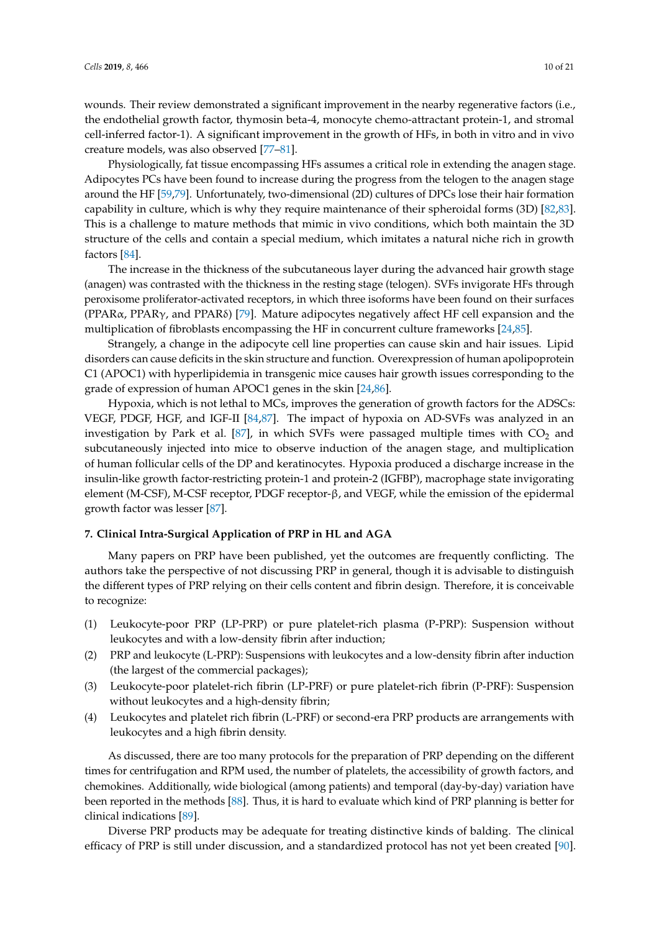wounds. Their review demonstrated a significant improvement in the nearby regenerative factors (i.e., the endothelial growth factor, thymosin beta-4, monocyte chemo-attractant protein-1, and stromal cell-inferred factor-1). A significant improvement in the growth of HFs, in both in vitro and in vivo creature models, was also observed [\[77](#page-17-13)[–81\]](#page-17-17).

Physiologically, fat tissue encompassing HFs assumes a critical role in extending the anagen stage. Adipocytes PCs have been found to increase during the progress from the telogen to the anagen stage around the HF [\[59](#page-16-11)[,79\]](#page-17-15). Unfortunately, two-dimensional (2D) cultures of DPCs lose their hair formation capability in culture, which is why they require maintenance of their spheroidal forms (3D) [\[82,](#page-17-18)[83\]](#page-18-0). This is a challenge to mature methods that mimic in vivo conditions, which both maintain the 3D structure of the cells and contain a special medium, which imitates a natural niche rich in growth factors [\[84\]](#page-18-1).

The increase in the thickness of the subcutaneous layer during the advanced hair growth stage (anagen) was contrasted with the thickness in the resting stage (telogen). SVFs invigorate HFs through peroxisome proliferator-activated receptors, in which three isoforms have been found on their surfaces (PPARα, PPARγ, and PPARδ) [\[79\]](#page-17-15). Mature adipocytes negatively affect HF cell expansion and the multiplication of fibroblasts encompassing the HF in concurrent culture frameworks [\[24](#page-15-3)[,85\]](#page-18-2).

Strangely, a change in the adipocyte cell line properties can cause skin and hair issues. Lipid disorders can cause deficits in the skin structure and function. Overexpression of human apolipoprotein C1 (APOC1) with hyperlipidemia in transgenic mice causes hair growth issues corresponding to the grade of expression of human APOC1 genes in the skin [\[24,](#page-15-3)[86\]](#page-18-3).

Hypoxia, which is not lethal to MCs, improves the generation of growth factors for the ADSCs: VEGF, PDGF, HGF, and IGF-II [\[84](#page-18-1)[,87\]](#page-18-4). The impact of hypoxia on AD-SVFs was analyzed in an investigation by Park et al. [\[87\]](#page-18-4), in which SVFs were passaged multiple times with  $CO<sub>2</sub>$  and subcutaneously injected into mice to observe induction of the anagen stage, and multiplication of human follicular cells of the DP and keratinocytes. Hypoxia produced a discharge increase in the insulin-like growth factor-restricting protein-1 and protein-2 (IGFBP), macrophage state invigorating element (M-CSF), M-CSF receptor, PDGF receptor-β, and VEGF, while the emission of the epidermal growth factor was lesser [\[87\]](#page-18-4).

## **7. Clinical Intra-Surgical Application of PRP in HL and AGA**

Many papers on PRP have been published, yet the outcomes are frequently conflicting. The authors take the perspective of not discussing PRP in general, though it is advisable to distinguish the different types of PRP relying on their cells content and fibrin design. Therefore, it is conceivable to recognize:

- (1) Leukocyte-poor PRP (LP-PRP) or pure platelet-rich plasma (P-PRP): Suspension without leukocytes and with a low-density fibrin after induction;
- (2) PRP and leukocyte (L-PRP): Suspensions with leukocytes and a low-density fibrin after induction (the largest of the commercial packages);
- (3) Leukocyte-poor platelet-rich fibrin (LP-PRF) or pure platelet-rich fibrin (P-PRF): Suspension without leukocytes and a high-density fibrin;
- (4) Leukocytes and platelet rich fibrin (L-PRF) or second-era PRP products are arrangements with leukocytes and a high fibrin density.

As discussed, there are too many protocols for the preparation of PRP depending on the different times for centrifugation and RPM used, the number of platelets, the accessibility of growth factors, and chemokines. Additionally, wide biological (among patients) and temporal (day-by-day) variation have been reported in the methods [\[88\]](#page-18-5). Thus, it is hard to evaluate which kind of PRP planning is better for clinical indications [\[89\]](#page-18-6).

Diverse PRP products may be adequate for treating distinctive kinds of balding. The clinical efficacy of PRP is still under discussion, and a standardized protocol has not yet been created [\[90\]](#page-18-7).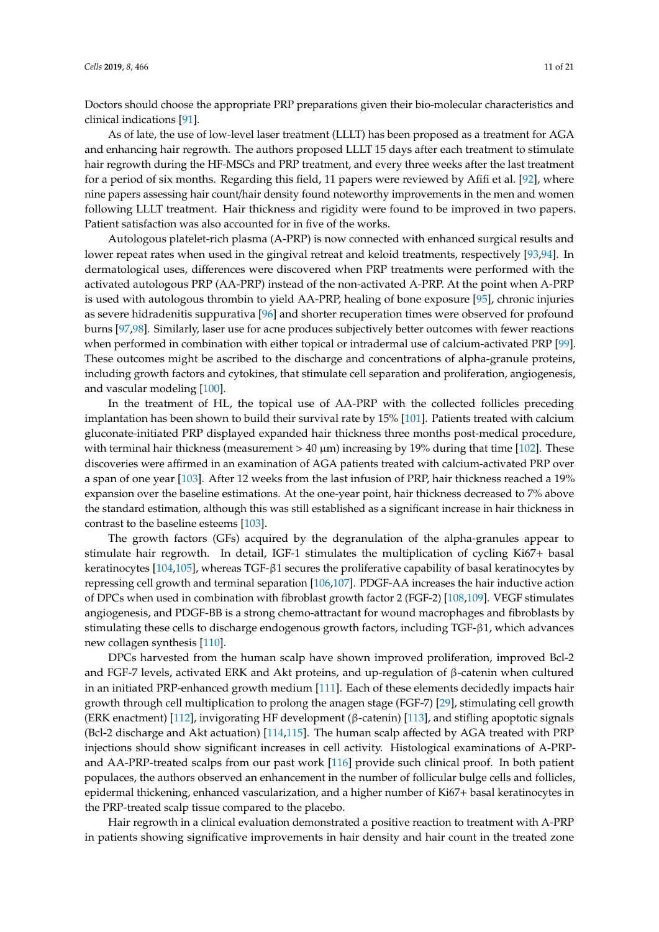Doctors should choose the appropriate PRP preparations given their bio-molecular characteristics and clinical indications [\[91\]](#page-18-8).

As of late, the use of low-level laser treatment (LLLT) has been proposed as a treatment for AGA and enhancing hair regrowth. The authors proposed LLLT 15 days after each treatment to stimulate hair regrowth during the HF-MSCs and PRP treatment, and every three weeks after the last treatment for a period of six months. Regarding this field, 11 papers were reviewed by Afifi et al. [\[92\]](#page-18-9), where nine papers assessing hair count/hair density found noteworthy improvements in the men and women following LLLT treatment. Hair thickness and rigidity were found to be improved in two papers. Patient satisfaction was also accounted for in five of the works.

Autologous platelet-rich plasma (A-PRP) is now connected with enhanced surgical results and lower repeat rates when used in the gingival retreat and keloid treatments, respectively [\[93,](#page-18-10)[94\]](#page-18-11). In dermatological uses, differences were discovered when PRP treatments were performed with the activated autologous PRP (AA-PRP) instead of the non-activated A-PRP. At the point when A-PRP is used with autologous thrombin to yield AA-PRP, healing of bone exposure [\[95\]](#page-18-12), chronic injuries as severe hidradenitis suppurativa [\[96\]](#page-18-13) and shorter recuperation times were observed for profound burns [\[97](#page-18-14)[,98\]](#page-18-15). Similarly, laser use for acne produces subjectively better outcomes with fewer reactions when performed in combination with either topical or intradermal use of calcium-activated PRP [\[99\]](#page-18-16). These outcomes might be ascribed to the discharge and concentrations of alpha-granule proteins, including growth factors and cytokines, that stimulate cell separation and proliferation, angiogenesis, and vascular modeling [\[100\]](#page-18-17).

In the treatment of HL, the topical use of AA-PRP with the collected follicles preceding implantation has been shown to build their survival rate by 15% [\[101\]](#page-18-18). Patients treated with calcium gluconate-initiated PRP displayed expanded hair thickness three months post-medical procedure, with terminal hair thickness (measurement  $> 40 \mu m$ ) increasing by 19% during that time [\[102\]](#page-18-19). These discoveries were affirmed in an examination of AGA patients treated with calcium-activated PRP over a span of one year [\[103\]](#page-19-0). After 12 weeks from the last infusion of PRP, hair thickness reached a 19% expansion over the baseline estimations. At the one-year point, hair thickness decreased to 7% above the standard estimation, although this was still established as a significant increase in hair thickness in contrast to the baseline esteems [\[103\]](#page-19-0).

The growth factors (GFs) acquired by the degranulation of the alpha-granules appear to stimulate hair regrowth. In detail, IGF-1 stimulates the multiplication of cycling Ki67+ basal keratinocytes [\[104,](#page-19-1)[105\]](#page-19-2), whereas TGF-β1 secures the proliferative capability of basal keratinocytes by repressing cell growth and terminal separation [\[106](#page-19-3)[,107\]](#page-19-4). PDGF-AA increases the hair inductive action of DPCs when used in combination with fibroblast growth factor 2 (FGF-2) [\[108](#page-19-5)[,109\]](#page-19-6). VEGF stimulates angiogenesis, and PDGF-BB is a strong chemo-attractant for wound macrophages and fibroblasts by stimulating these cells to discharge endogenous growth factors, including TGF-β1, which advances new collagen synthesis [\[110\]](#page-19-7).

DPCs harvested from the human scalp have shown improved proliferation, improved Bcl-2 and FGF-7 levels, activated ERK and Akt proteins, and up-regulation of β-catenin when cultured in an initiated PRP-enhanced growth medium [\[111\]](#page-19-8). Each of these elements decidedly impacts hair growth through cell multiplication to prolong the anagen stage (FGF-7) [\[29\]](#page-15-8), stimulating cell growth (ERK enactment) [\[112\]](#page-19-9), invigorating HF development (β-catenin) [\[113\]](#page-19-10), and stifling apoptotic signals (Bcl-2 discharge and Akt actuation) [\[114](#page-19-11)[,115\]](#page-19-12). The human scalp affected by AGA treated with PRP injections should show significant increases in cell activity. Histological examinations of A-PRPand AA-PRP-treated scalps from our past work [\[116\]](#page-19-13) provide such clinical proof. In both patient populaces, the authors observed an enhancement in the number of follicular bulge cells and follicles, epidermal thickening, enhanced vascularization, and a higher number of Ki67+ basal keratinocytes in the PRP-treated scalp tissue compared to the placebo.

Hair regrowth in a clinical evaluation demonstrated a positive reaction to treatment with A-PRP in patients showing significative improvements in hair density and hair count in the treated zone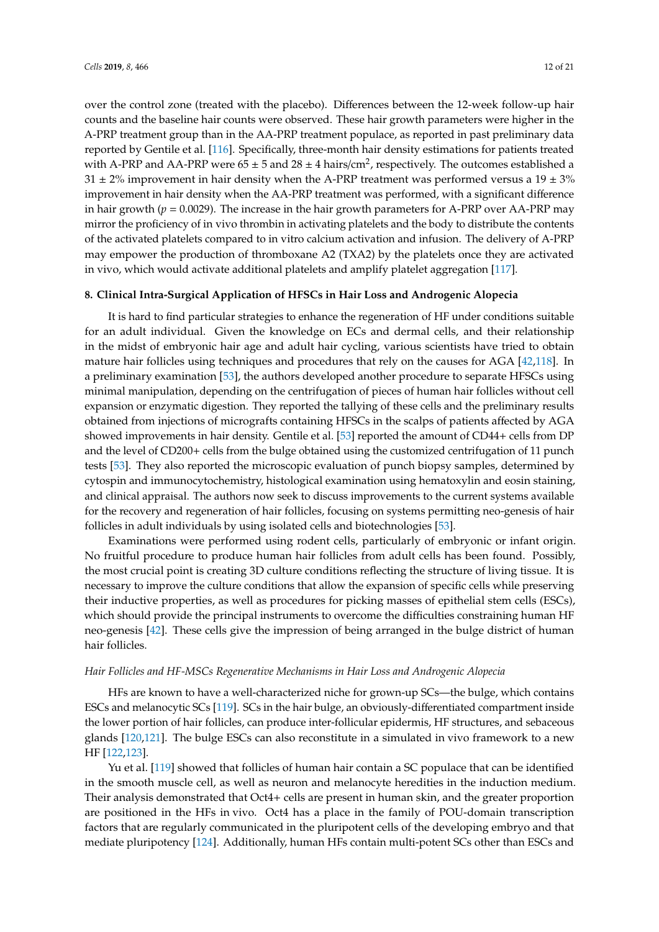over the control zone (treated with the placebo). Differences between the 12-week follow-up hair counts and the baseline hair counts were observed. These hair growth parameters were higher in the A-PRP treatment group than in the AA-PRP treatment populace, as reported in past preliminary data reported by Gentile et al. [\[116\]](#page-19-13). Specifically, three-month hair density estimations for patients treated with A-PRP and AA-PRP were  $65 \pm 5$  and  $28 \pm 4$  hairs/cm<sup>2</sup>, respectively. The outcomes established a  $31 \pm 2\%$  improvement in hair density when the A-PRP treatment was performed versus a 19  $\pm 3\%$ improvement in hair density when the AA-PRP treatment was performed, with a significant difference in hair growth ( $p = 0.0029$ ). The increase in the hair growth parameters for A-PRP over AA-PRP may mirror the proficiency of in vivo thrombin in activating platelets and the body to distribute the contents of the activated platelets compared to in vitro calcium activation and infusion. The delivery of A-PRP may empower the production of thromboxane A2 (TXA2) by the platelets once they are activated in vivo, which would activate additional platelets and amplify platelet aggregation [\[117\]](#page-19-14).

## **8. Clinical Intra-Surgical Application of HFSCs in Hair Loss and Androgenic Alopecia**

It is hard to find particular strategies to enhance the regeneration of HF under conditions suitable for an adult individual. Given the knowledge on ECs and dermal cells, and their relationship in the midst of embryonic hair age and adult hair cycling, various scientists have tried to obtain mature hair follicles using techniques and procedures that rely on the causes for AGA [\[42](#page-15-20)[,118\]](#page-19-15). In a preliminary examination [\[53\]](#page-16-5), the authors developed another procedure to separate HFSCs using minimal manipulation, depending on the centrifugation of pieces of human hair follicles without cell expansion or enzymatic digestion. They reported the tallying of these cells and the preliminary results obtained from injections of micrografts containing HFSCs in the scalps of patients affected by AGA showed improvements in hair density. Gentile et al. [\[53\]](#page-16-5) reported the amount of CD44+ cells from DP and the level of CD200+ cells from the bulge obtained using the customized centrifugation of 11 punch tests [\[53\]](#page-16-5). They also reported the microscopic evaluation of punch biopsy samples, determined by cytospin and immunocytochemistry, histological examination using hematoxylin and eosin staining, and clinical appraisal. The authors now seek to discuss improvements to the current systems available for the recovery and regeneration of hair follicles, focusing on systems permitting neo-genesis of hair follicles in adult individuals by using isolated cells and biotechnologies [\[53\]](#page-16-5).

Examinations were performed using rodent cells, particularly of embryonic or infant origin. No fruitful procedure to produce human hair follicles from adult cells has been found. Possibly, the most crucial point is creating 3D culture conditions reflecting the structure of living tissue. It is necessary to improve the culture conditions that allow the expansion of specific cells while preserving their inductive properties, as well as procedures for picking masses of epithelial stem cells (ESCs), which should provide the principal instruments to overcome the difficulties constraining human HF neo-genesis [\[42\]](#page-15-20). These cells give the impression of being arranged in the bulge district of human hair follicles.

#### *Hair Follicles and HF-MSCs Regenerative Mechanisms in Hair Loss and Androgenic Alopecia*

HFs are known to have a well-characterized niche for grown-up SCs—the bulge, which contains ESCs and melanocytic SCs [\[119\]](#page-19-16). SCs in the hair bulge, an obviously-differentiated compartment inside the lower portion of hair follicles, can produce inter-follicular epidermis, HF structures, and sebaceous glands [\[120](#page-19-17)[,121\]](#page-19-18). The bulge ESCs can also reconstitute in a simulated in vivo framework to a new HF [\[122,](#page-19-19)[123\]](#page-19-20).

Yu et al. [\[119\]](#page-19-16) showed that follicles of human hair contain a SC populace that can be identified in the smooth muscle cell, as well as neuron and melanocyte heredities in the induction medium. Their analysis demonstrated that Oct4+ cells are present in human skin, and the greater proportion are positioned in the HFs in vivo. Oct4 has a place in the family of POU-domain transcription factors that are regularly communicated in the pluripotent cells of the developing embryo and that mediate pluripotency [\[124\]](#page-20-0). Additionally, human HFs contain multi-potent SCs other than ESCs and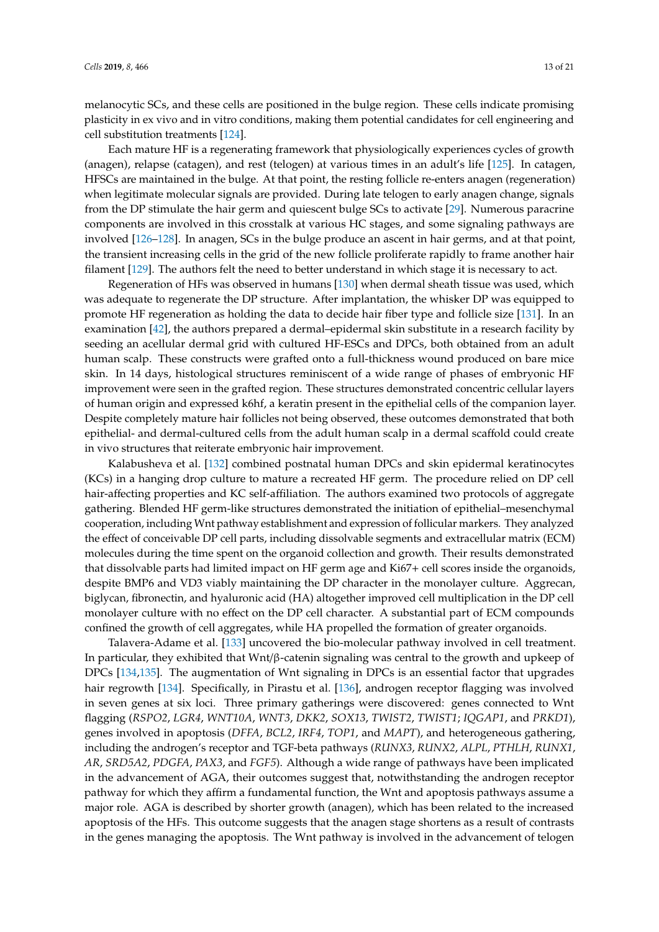melanocytic SCs, and these cells are positioned in the bulge region. These cells indicate promising plasticity in ex vivo and in vitro conditions, making them potential candidates for cell engineering and cell substitution treatments [\[124\]](#page-20-0).

Each mature HF is a regenerating framework that physiologically experiences cycles of growth (anagen), relapse (catagen), and rest (telogen) at various times in an adult's life [\[125\]](#page-20-1). In catagen, HFSCs are maintained in the bulge. At that point, the resting follicle re-enters anagen (regeneration) when legitimate molecular signals are provided. During late telogen to early anagen change, signals from the DP stimulate the hair germ and quiescent bulge SCs to activate [\[29\]](#page-15-8). Numerous paracrine components are involved in this crosstalk at various HC stages, and some signaling pathways are involved [\[126](#page-20-2)[–128\]](#page-20-3). In anagen, SCs in the bulge produce an ascent in hair germs, and at that point, the transient increasing cells in the grid of the new follicle proliferate rapidly to frame another hair filament [\[129\]](#page-20-4). The authors felt the need to better understand in which stage it is necessary to act.

Regeneration of HFs was observed in humans [\[130\]](#page-20-5) when dermal sheath tissue was used, which was adequate to regenerate the DP structure. After implantation, the whisker DP was equipped to promote HF regeneration as holding the data to decide hair fiber type and follicle size [\[131\]](#page-20-6). In an examination [\[42\]](#page-15-20), the authors prepared a dermal–epidermal skin substitute in a research facility by seeding an acellular dermal grid with cultured HF-ESCs and DPCs, both obtained from an adult human scalp. These constructs were grafted onto a full-thickness wound produced on bare mice skin. In 14 days, histological structures reminiscent of a wide range of phases of embryonic HF improvement were seen in the grafted region. These structures demonstrated concentric cellular layers of human origin and expressed k6hf, a keratin present in the epithelial cells of the companion layer. Despite completely mature hair follicles not being observed, these outcomes demonstrated that both epithelial- and dermal-cultured cells from the adult human scalp in a dermal scaffold could create in vivo structures that reiterate embryonic hair improvement.

Kalabusheva et al. [\[132\]](#page-20-7) combined postnatal human DPCs and skin epidermal keratinocytes (KCs) in a hanging drop culture to mature a recreated HF germ. The procedure relied on DP cell hair-affecting properties and KC self-affiliation. The authors examined two protocols of aggregate gathering. Blended HF germ-like structures demonstrated the initiation of epithelial–mesenchymal cooperation, including Wnt pathway establishment and expression of follicular markers. They analyzed the effect of conceivable DP cell parts, including dissolvable segments and extracellular matrix (ECM) molecules during the time spent on the organoid collection and growth. Their results demonstrated that dissolvable parts had limited impact on HF germ age and Ki67+ cell scores inside the organoids, despite BMP6 and VD3 viably maintaining the DP character in the monolayer culture. Aggrecan, biglycan, fibronectin, and hyaluronic acid (HA) altogether improved cell multiplication in the DP cell monolayer culture with no effect on the DP cell character. A substantial part of ECM compounds confined the growth of cell aggregates, while HA propelled the formation of greater organoids.

Talavera-Adame et al. [\[133\]](#page-20-8) uncovered the bio-molecular pathway involved in cell treatment. In particular, they exhibited that Wnt/β-catenin signaling was central to the growth and upkeep of DPCs [\[134,](#page-20-9)[135\]](#page-20-10). The augmentation of Wnt signaling in DPCs is an essential factor that upgrades hair regrowth [\[134\]](#page-20-9). Specifically, in Pirastu et al. [\[136\]](#page-20-11), androgen receptor flagging was involved in seven genes at six loci. Three primary gatherings were discovered: genes connected to Wnt flagging (*RSPO2*, *LGR4*, *WNT10A*, *WNT3*, *DKK2*, *SOX13*, *TWIST2*, *TWIST1*; *IQGAP1*, and *PRKD1*), genes involved in apoptosis (*DFFA*, *BCL2*, *IRF4*, *TOP1*, and *MAPT*), and heterogeneous gathering, including the androgen's receptor and TGF-beta pathways (*RUNX3*, *RUNX2*, *ALPL*, *PTHLH*, *RUNX1*, *AR*, *SRD5A2*, *PDGFA*, *PAX3*, and *FGF5*). Although a wide range of pathways have been implicated in the advancement of AGA, their outcomes suggest that, notwithstanding the androgen receptor pathway for which they affirm a fundamental function, the Wnt and apoptosis pathways assume a major role. AGA is described by shorter growth (anagen), which has been related to the increased apoptosis of the HFs. This outcome suggests that the anagen stage shortens as a result of contrasts in the genes managing the apoptosis. The Wnt pathway is involved in the advancement of telogen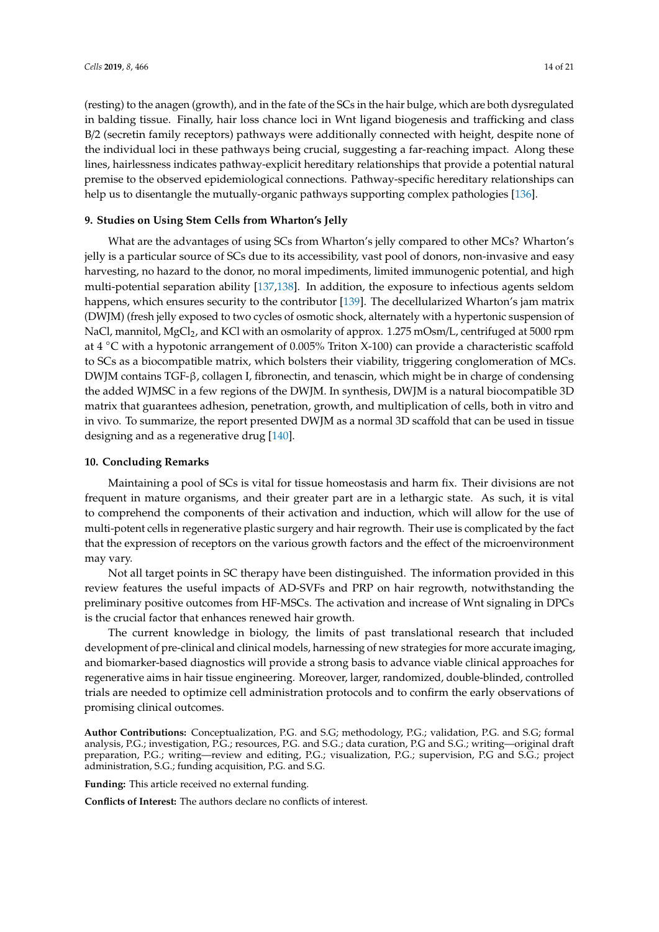(resting) to the anagen (growth), and in the fate of the SCs in the hair bulge, which are both dysregulated in balding tissue. Finally, hair loss chance loci in Wnt ligand biogenesis and trafficking and class B/2 (secretin family receptors) pathways were additionally connected with height, despite none of the individual loci in these pathways being crucial, suggesting a far-reaching impact. Along these lines, hairlessness indicates pathway-explicit hereditary relationships that provide a potential natural premise to the observed epidemiological connections. Pathway-specific hereditary relationships can help us to disentangle the mutually-organic pathways supporting complex pathologies [\[136\]](#page-20-11).

#### **9. Studies on Using Stem Cells from Wharton's Jelly**

What are the advantages of using SCs from Wharton's jelly compared to other MCs? Wharton's jelly is a particular source of SCs due to its accessibility, vast pool of donors, non-invasive and easy harvesting, no hazard to the donor, no moral impediments, limited immunogenic potential, and high multi-potential separation ability [\[137](#page-20-12)[,138\]](#page-20-13). In addition, the exposure to infectious agents seldom happens, which ensures security to the contributor [\[139\]](#page-20-14). The decellularized Wharton's jam matrix (DWJM) (fresh jelly exposed to two cycles of osmotic shock, alternately with a hypertonic suspension of NaCl, mannitol, MgCl<sub>2</sub>, and KCl with an osmolarity of approx. 1.275 mOsm/L, centrifuged at 5000 rpm at 4 ◦C with a hypotonic arrangement of 0.005% Triton X-100) can provide a characteristic scaffold to SCs as a biocompatible matrix, which bolsters their viability, triggering conglomeration of MCs. DWJM contains TGF-β, collagen I, fibronectin, and tenascin, which might be in charge of condensing the added WJMSC in a few regions of the DWJM. In synthesis, DWJM is a natural biocompatible 3D matrix that guarantees adhesion, penetration, growth, and multiplication of cells, both in vitro and in vivo. To summarize, the report presented DWJM as a normal 3D scaffold that can be used in tissue designing and as a regenerative drug [\[140\]](#page-20-15).

#### **10. Concluding Remarks**

Maintaining a pool of SCs is vital for tissue homeostasis and harm fix. Their divisions are not frequent in mature organisms, and their greater part are in a lethargic state. As such, it is vital to comprehend the components of their activation and induction, which will allow for the use of multi-potent cells in regenerative plastic surgery and hair regrowth. Their use is complicated by the fact that the expression of receptors on the various growth factors and the effect of the microenvironment may vary.

Not all target points in SC therapy have been distinguished. The information provided in this review features the useful impacts of AD-SVFs and PRP on hair regrowth, notwithstanding the preliminary positive outcomes from HF-MSCs. The activation and increase of Wnt signaling in DPCs is the crucial factor that enhances renewed hair growth.

The current knowledge in biology, the limits of past translational research that included development of pre-clinical and clinical models, harnessing of new strategies for more accurate imaging, and biomarker-based diagnostics will provide a strong basis to advance viable clinical approaches for regenerative aims in hair tissue engineering. Moreover, larger, randomized, double-blinded, controlled trials are needed to optimize cell administration protocols and to confirm the early observations of promising clinical outcomes.

**Author Contributions:** Conceptualization, P.G. and S.G; methodology, P.G.; validation, P.G. and S.G; formal analysis, P.G.; investigation, P.G.; resources, P.G. and S.G.; data curation, P.G and S.G.; writing—original draft preparation, P.G.; writing—review and editing, P.G.; visualization, P.G.; supervision, P.G and S.G.; project administration, S.G.; funding acquisition, P.G. and S.G.

**Funding:** This article received no external funding.

**Conflicts of Interest:** The authors declare no conflicts of interest.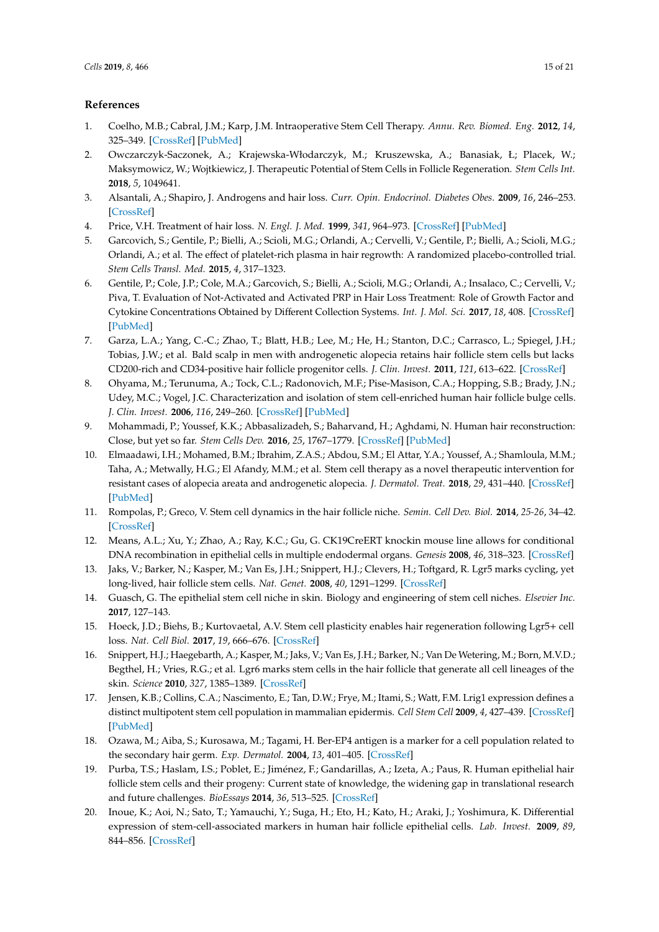# **References**

- <span id="page-14-0"></span>1. Coelho, M.B.; Cabral, J.M.; Karp, J.M. Intraoperative Stem Cell Therapy. *Annu. Rev. Biomed. Eng.* **2012**, *14*, 325–349. [\[CrossRef\]](http://dx.doi.org/10.1146/annurev-bioeng-071811-150041) [\[PubMed\]](http://www.ncbi.nlm.nih.gov/pubmed/22809140)
- <span id="page-14-1"></span>2. Owczarczyk-Saczonek, A.; Krajewska-Włodarczyk, M.; Kruszewska, A.; Banasiak, Ł; Placek, W.; Maksymowicz, W.; Wojtkiewicz, J. Therapeutic Potential of Stem Cells in Follicle Regeneration. *Stem Cells Int.* **2018**, *5*, 1049641.
- <span id="page-14-2"></span>3. Alsantali, A.; Shapiro, J. Androgens and hair loss. *Curr. Opin. Endocrinol. Diabetes Obes.* **2009**, *16*, 246–253. [\[CrossRef\]](http://dx.doi.org/10.1097/MED.0b013e32832b100a)
- <span id="page-14-6"></span>4. Price, V.H. Treatment of hair loss. *N. Engl. J. Med.* **1999**, *341*, 964–973. [\[CrossRef\]](http://dx.doi.org/10.1056/NEJM199909233411307) [\[PubMed\]](http://www.ncbi.nlm.nih.gov/pubmed/10498493)
- <span id="page-14-4"></span>5. Garcovich, S.; Gentile, P.; Bielli, A.; Scioli, M.G.; Orlandi, A.; Cervelli, V.; Gentile, P.; Bielli, A.; Scioli, M.G.; Orlandi, A.; et al. The effect of platelet-rich plasma in hair regrowth: A randomized placebo-controlled trial. *Stem Cells Transl. Med.* **2015**, *4*, 317–1323.
- <span id="page-14-3"></span>6. Gentile, P.; Cole, J.P.; Cole, M.A.; Garcovich, S.; Bielli, A.; Scioli, M.G.; Orlandi, A.; Insalaco, C.; Cervelli, V.; Piva, T. Evaluation of Not-Activated and Activated PRP in Hair Loss Treatment: Role of Growth Factor and Cytokine Concentrations Obtained by Different Collection Systems. *Int. J. Mol. Sci.* **2017**, *18*, 408. [\[CrossRef\]](http://dx.doi.org/10.3390/ijms18020408) [\[PubMed\]](http://www.ncbi.nlm.nih.gov/pubmed/28216604)
- <span id="page-14-5"></span>7. Garza, L.A.; Yang, C.-C.; Zhao, T.; Blatt, H.B.; Lee, M.; He, H.; Stanton, D.C.; Carrasco, L.; Spiegel, J.H.; Tobias, J.W.; et al. Bald scalp in men with androgenetic alopecia retains hair follicle stem cells but lacks CD200-rich and CD34-positive hair follicle progenitor cells. *J. Clin. Invest.* **2011**, *121*, 613–622. [\[CrossRef\]](http://dx.doi.org/10.1172/JCI44478)
- <span id="page-14-7"></span>8. Ohyama, M.; Terunuma, A.; Tock, C.L.; Radonovich, M.F.; Pise-Masison, C.A.; Hopping, S.B.; Brady, J.N.; Udey, M.C.; Vogel, J.C. Characterization and isolation of stem cell-enriched human hair follicle bulge cells. *J. Clin. Invest.* **2006**, *116*, 249–260. [\[CrossRef\]](http://dx.doi.org/10.1172/JCI26043) [\[PubMed\]](http://www.ncbi.nlm.nih.gov/pubmed/16395407)
- <span id="page-14-8"></span>9. Mohammadi, P.; Youssef, K.K.; Abbasalizadeh, S.; Baharvand, H.; Aghdami, N. Human hair reconstruction: Close, but yet so far. *Stem Cells Dev.* **2016**, *25*, 1767–1779. [\[CrossRef\]](http://dx.doi.org/10.1089/scd.2016.0137) [\[PubMed\]](http://www.ncbi.nlm.nih.gov/pubmed/27649771)
- <span id="page-14-9"></span>10. Elmaadawi, I.H.; Mohamed, B.M.; Ibrahim, Z.A.S.; Abdou, S.M.; El Attar, Y.A.; Youssef, A.; Shamloula, M.M.; Taha, A.; Metwally, H.G.; El Afandy, M.M.; et al. Stem cell therapy as a novel therapeutic intervention for resistant cases of alopecia areata and androgenetic alopecia. *J. Dermatol. Treat.* **2018**, *29*, 431–440. [\[CrossRef\]](http://dx.doi.org/10.1080/09546634.2016.1227419) [\[PubMed\]](http://www.ncbi.nlm.nih.gov/pubmed/27553744)
- <span id="page-14-10"></span>11. Rompolas, P.; Greco, V. Stem cell dynamics in the hair follicle niche. *Semin. Cell Dev. Biol.* **2014**, *25-26*, 34–42. [\[CrossRef\]](http://dx.doi.org/10.1016/j.semcdb.2013.12.005)
- <span id="page-14-11"></span>12. Means, A.L.; Xu, Y.; Zhao, A.; Ray, K.C.; Gu, G. CK19CreERT knockin mouse line allows for conditional DNA recombination in epithelial cells in multiple endodermal organs. *Genesis* **2008**, *46*, 318–323. [\[CrossRef\]](http://dx.doi.org/10.1002/dvg.20397)
- <span id="page-14-12"></span>13. Jaks, V.; Barker, N.; Kasper, M.; Van Es, J.H.; Snippert, H.J.; Clevers, H.; Toftgard, R. Lgr5 marks cycling, yet long-lived, hair follicle stem cells. *Nat. Genet.* **2008**, *40*, 1291–1299. [\[CrossRef\]](http://dx.doi.org/10.1038/ng.239)
- <span id="page-14-13"></span>14. Guasch, G. The epithelial stem cell niche in skin. Biology and engineering of stem cell niches. *Elsevier Inc.* **2017**, 127–143.
- <span id="page-14-14"></span>15. Hoeck, J.D.; Biehs, B.; Kurtovaetal, A.V. Stem cell plasticity enables hair regeneration following Lgr5+ cell loss. *Nat. Cell Biol.* **2017**, *19*, 666–676. [\[CrossRef\]](http://dx.doi.org/10.1038/ncb3535)
- <span id="page-14-15"></span>16. Snippert, H.J.; Haegebarth, A.; Kasper, M.; Jaks, V.; Van Es, J.H.; Barker, N.; Van De Wetering, M.; Born, M.V.D.; Begthel, H.; Vries, R.G.; et al. Lgr6 marks stem cells in the hair follicle that generate all cell lineages of the skin. *Science* **2010**, *327*, 1385–1389. [\[CrossRef\]](http://dx.doi.org/10.1126/science.1184733)
- <span id="page-14-16"></span>17. Jensen, K.B.; Collins, C.A.; Nascimento, E.; Tan, D.W.; Frye, M.; Itami, S.; Watt, F.M. Lrig1 expression defines a distinct multipotent stem cell population in mammalian epidermis. *Cell Stem Cell* **2009**, *4*, 427–439. [\[CrossRef\]](http://dx.doi.org/10.1016/j.stem.2009.04.014) [\[PubMed\]](http://www.ncbi.nlm.nih.gov/pubmed/19427292)
- <span id="page-14-17"></span>18. Ozawa, M.; Aiba, S.; Kurosawa, M.; Tagami, H. Ber-EP4 antigen is a marker for a cell population related to the secondary hair germ. *Exp. Dermatol.* **2004**, *13*, 401–405. [\[CrossRef\]](http://dx.doi.org/10.1111/j.0906-6705.2004.00153.x)
- <span id="page-14-18"></span>19. Purba, T.S.; Haslam, I.S.; Poblet, E.; Jiménez, F.; Gandarillas, A.; Izeta, A.; Paus, R. Human epithelial hair follicle stem cells and their progeny: Current state of knowledge, the widening gap in translational research and future challenges. *BioEssays* **2014**, *36*, 513–525. [\[CrossRef\]](http://dx.doi.org/10.1002/bies.201300166)
- <span id="page-14-19"></span>20. Inoue, K.; Aoi, N.; Sato, T.; Yamauchi, Y.; Suga, H.; Eto, H.; Kato, H.; Araki, J.; Yoshimura, K. Differential expression of stem-cell-associated markers in human hair follicle epithelial cells. *Lab. Invest.* **2009**, *89*, 844–856. [\[CrossRef\]](http://dx.doi.org/10.1038/labinvest.2009.48)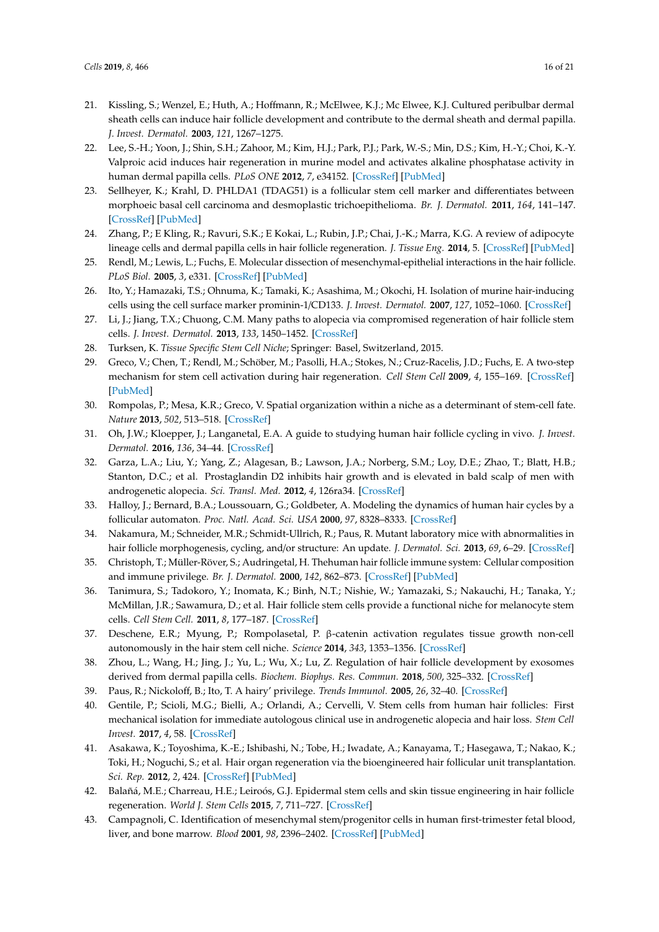- <span id="page-15-0"></span>21. Kissling, S.; Wenzel, E.; Huth, A.; Hoffmann, R.; McElwee, K.J.; Mc Elwee, K.J. Cultured peribulbar dermal sheath cells can induce hair follicle development and contribute to the dermal sheath and dermal papilla. *J. Invest. Dermatol.* **2003**, *121*, 1267–1275.
- <span id="page-15-1"></span>22. Lee, S.-H.; Yoon, J.; Shin, S.H.; Zahoor, M.; Kim, H.J.; Park, P.J.; Park, W.-S.; Min, D.S.; Kim, H.-Y.; Choi, K.-Y. Valproic acid induces hair regeneration in murine model and activates alkaline phosphatase activity in human dermal papilla cells. *PLoS ONE* **2012**, *7*, e34152. [\[CrossRef\]](http://dx.doi.org/10.1371/journal.pone.0034152) [\[PubMed\]](http://www.ncbi.nlm.nih.gov/pubmed/22506014)
- <span id="page-15-2"></span>23. Sellheyer, K.; Krahl, D. PHLDA1 (TDAG51) is a follicular stem cell marker and differentiates between morphoeic basal cell carcinoma and desmoplastic trichoepithelioma. *Br. J. Dermatol.* **2011**, *164*, 141–147. [\[CrossRef\]](http://dx.doi.org/10.1111/j.1365-2133.2010.10045.x) [\[PubMed\]](http://www.ncbi.nlm.nih.gov/pubmed/20846311)
- <span id="page-15-3"></span>24. Zhang, P.; E Kling, R.; Ravuri, S.K.; E Kokai, L.; Rubin, J.P.; Chai, J.-K.; Marra, K.G. A review of adipocyte lineage cells and dermal papilla cells in hair follicle regeneration. *J. Tissue Eng.* **2014**, 5. [\[CrossRef\]](http://dx.doi.org/10.1177/2041731414556850) [\[PubMed\]](http://www.ncbi.nlm.nih.gov/pubmed/25383178)
- <span id="page-15-4"></span>25. Rendl, M.; Lewis, L.; Fuchs, E. Molecular dissection of mesenchymal-epithelial interactions in the hair follicle. *PLoS Biol.* **2005**, *3*, e331. [\[CrossRef\]](http://dx.doi.org/10.1371/journal.pbio.0030331) [\[PubMed\]](http://www.ncbi.nlm.nih.gov/pubmed/16162033)
- <span id="page-15-5"></span>26. Ito, Y.; Hamazaki, T.S.; Ohnuma, K.; Tamaki, K.; Asashima, M.; Okochi, H. Isolation of murine hair-inducing cells using the cell surface marker prominin-1/CD133. *J. Invest. Dermatol.* **2007**, *127*, 1052–1060. [\[CrossRef\]](http://dx.doi.org/10.1038/sj.jid.5700665)
- <span id="page-15-6"></span>27. Li, J.; Jiang, T.X.; Chuong, C.M. Many paths to alopecia via compromised regeneration of hair follicle stem cells. *J. Invest. Dermatol.* **2013**, *133*, 1450–1452. [\[CrossRef\]](http://dx.doi.org/10.1038/jid.2012.511)
- <span id="page-15-7"></span>28. Turksen, K. *Tissue Specific Stem Cell Niche*; Springer: Basel, Switzerland, 2015.
- <span id="page-15-8"></span>29. Greco, V.; Chen, T.; Rendl, M.; Schöber, M.; Pasolli, H.A.; Stokes, N.; Cruz-Racelis, J.D.; Fuchs, E. A two-step mechanism for stem cell activation during hair regeneration. *Cell Stem Cell* **2009**, *4*, 155–169. [\[CrossRef\]](http://dx.doi.org/10.1016/j.stem.2008.12.009) [\[PubMed\]](http://www.ncbi.nlm.nih.gov/pubmed/19200804)
- <span id="page-15-9"></span>30. Rompolas, P.; Mesa, K.R.; Greco, V. Spatial organization within a niche as a determinant of stem-cell fate. *Nature* **2013**, *502*, 513–518. [\[CrossRef\]](http://dx.doi.org/10.1038/nature12602)
- <span id="page-15-10"></span>31. Oh, J.W.; Kloepper, J.; Langanetal, E.A. A guide to studying human hair follicle cycling in vivo. *J. Invest. Dermatol.* **2016**, *136*, 34–44. [\[CrossRef\]](http://dx.doi.org/10.1038/JID.2015.354)
- <span id="page-15-11"></span>32. Garza, L.A.; Liu, Y.; Yang, Z.; Alagesan, B.; Lawson, J.A.; Norberg, S.M.; Loy, D.E.; Zhao, T.; Blatt, H.B.; Stanton, D.C.; et al. Prostaglandin D2 inhibits hair growth and is elevated in bald scalp of men with androgenetic alopecia. *Sci. Transl. Med.* **2012**, *4*, 126ra34. [\[CrossRef\]](http://dx.doi.org/10.1126/scitranslmed.3003122)
- <span id="page-15-12"></span>33. Halloy, J.; Bernard, B.A.; Loussouarn, G.; Goldbeter, A. Modeling the dynamics of human hair cycles by a follicular automaton. *Proc. Natl. Acad. Sci. USA* **2000**, *97*, 8328–8333. [\[CrossRef\]](http://dx.doi.org/10.1073/pnas.97.15.8328)
- <span id="page-15-13"></span>34. Nakamura, M.; Schneider, M.R.; Schmidt-Ullrich, R.; Paus, R. Mutant laboratory mice with abnormalities in hair follicle morphogenesis, cycling, and/or structure: An update. *J. Dermatol. Sci.* **2013**, *69*, 6–29. [\[CrossRef\]](http://dx.doi.org/10.1016/j.jdermsci.2012.10.001)
- <span id="page-15-14"></span>35. Christoph, T.; Müller-Röver, S.; Audringetal, H. Thehuman hair follicle immune system: Cellular composition and immune privilege. *Br. J. Dermatol.* **2000**, *142*, 862–873. [\[CrossRef\]](http://dx.doi.org/10.1046/j.1365-2133.2000.03464.x) [\[PubMed\]](http://www.ncbi.nlm.nih.gov/pubmed/10809841)
- <span id="page-15-15"></span>36. Tanimura, S.; Tadokoro, Y.; Inomata, K.; Binh, N.T.; Nishie, W.; Yamazaki, S.; Nakauchi, H.; Tanaka, Y.; McMillan, J.R.; Sawamura, D.; et al. Hair follicle stem cells provide a functional niche for melanocyte stem cells. *Cell Stem Cell.* **2011**, *8*, 177–187. [\[CrossRef\]](http://dx.doi.org/10.1016/j.stem.2010.11.029)
- <span id="page-15-16"></span>37. Deschene, E.R.; Myung, P.; Rompolasetal, P. β-catenin activation regulates tissue growth non-cell autonomously in the hair stem cell niche. *Science* **2014**, *343*, 1353–1356. [\[CrossRef\]](http://dx.doi.org/10.1126/science.1248373)
- <span id="page-15-17"></span>38. Zhou, L.; Wang, H.; Jing, J.; Yu, L.; Wu, X.; Lu, Z. Regulation of hair follicle development by exosomes derived from dermal papilla cells. *Biochem. Biophys. Res. Commun.* **2018**, *500*, 325–332. [\[CrossRef\]](http://dx.doi.org/10.1016/j.bbrc.2018.04.067)
- <span id="page-15-19"></span><span id="page-15-18"></span>39. Paus, R.; Nickoloff, B.; Ito, T. A hairy' privilege. *Trends Immunol.* **2005**, *26*, 32–40. [\[CrossRef\]](http://dx.doi.org/10.1016/j.it.2004.09.014)
- 40. Gentile, P.; Scioli, M.G.; Bielli, A.; Orlandi, A.; Cervelli, V. Stem cells from human hair follicles: First mechanical isolation for immediate autologous clinical use in androgenetic alopecia and hair loss. *Stem Cell Invest.* **2017**, *4*, 58. [\[CrossRef\]](http://dx.doi.org/10.21037/sci.2017.06.04)
- 41. Asakawa, K.; Toyoshima, K.-E.; Ishibashi, N.; Tobe, H.; Iwadate, A.; Kanayama, T.; Hasegawa, T.; Nakao, K.; Toki, H.; Noguchi, S.; et al. Hair organ regeneration via the bioengineered hair follicular unit transplantation. *Sci. Rep.* **2012**, *2*, 424. [\[CrossRef\]](http://dx.doi.org/10.1038/srep00424) [\[PubMed\]](http://www.ncbi.nlm.nih.gov/pubmed/22645640)
- <span id="page-15-20"></span>42. Balañá, M.E.; Charreau, H.E.; Leiroós, G.J. Epidermal stem cells and skin tissue engineering in hair follicle regeneration. *World J. Stem Cells* **2015**, *7*, 711–727. [\[CrossRef\]](http://dx.doi.org/10.4252/wjsc.v7.i4.711)
- <span id="page-15-21"></span>43. Campagnoli, C. Identification of mesenchymal stem/progenitor cells in human first-trimester fetal blood, liver, and bone marrow. *Blood* **2001**, *98*, 2396–2402. [\[CrossRef\]](http://dx.doi.org/10.1182/blood.V98.8.2396) [\[PubMed\]](http://www.ncbi.nlm.nih.gov/pubmed/11588036)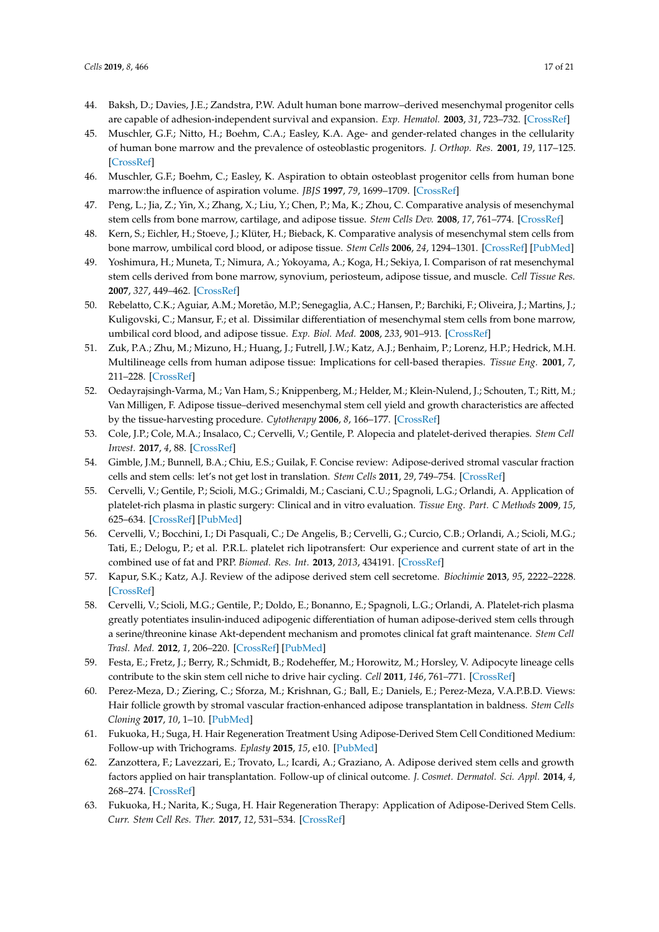- 44. Baksh, D.; Davies, J.E.; Zandstra, P.W. Adult human bone marrow–derived mesenchymal progenitor cells are capable of adhesion-independent survival and expansion. *Exp. Hematol.* **2003**, *31*, 723–732. [\[CrossRef\]](http://dx.doi.org/10.1016/S0301-472X(03)00106-1)
- 45. Muschler, G.F.; Nitto, H.; Boehm, C.A.; Easley, K.A. Age- and gender-related changes in the cellularity of human bone marrow and the prevalence of osteoblastic progenitors. *J. Orthop. Res.* **2001**, *19*, 117–125. [\[CrossRef\]](http://dx.doi.org/10.1016/S0736-0266(00)00010-3)
- <span id="page-16-0"></span>46. Muschler, G.F.; Boehm, C.; Easley, K. Aspiration to obtain osteoblast progenitor cells from human bone marrow:the influence of aspiration volume. *JBJS* **1997**, *79*, 1699–1709. [\[CrossRef\]](http://dx.doi.org/10.2106/00004623-199711000-00012)
- <span id="page-16-1"></span>47. Peng, L.; Jia, Z.; Yin, X.; Zhang, X.; Liu, Y.; Chen, P.; Ma, K.; Zhou, C. Comparative analysis of mesenchymal stem cells from bone marrow, cartilage, and adipose tissue. *Stem Cells Dev.* **2008**, *17*, 761–774. [\[CrossRef\]](http://dx.doi.org/10.1089/scd.2007.0217)
- <span id="page-16-3"></span>48. Kern, S.; Eichler, H.; Stoeve, J.; Klüter, H.; Bieback, K. Comparative analysis of mesenchymal stem cells from bone marrow, umbilical cord blood, or adipose tissue. *Stem Cells* **2006**, *24*, 1294–1301. [\[CrossRef\]](http://dx.doi.org/10.1634/stemcells.2005-0342) [\[PubMed\]](http://www.ncbi.nlm.nih.gov/pubmed/16410387)
- 49. Yoshimura, H.; Muneta, T.; Nimura, A.; Yokoyama, A.; Koga, H.; Sekiya, I. Comparison of rat mesenchymal stem cells derived from bone marrow, synovium, periosteum, adipose tissue, and muscle. *Cell Tissue Res.* **2007**, *327*, 449–462. [\[CrossRef\]](http://dx.doi.org/10.1007/s00441-006-0308-z)
- <span id="page-16-2"></span>50. Rebelatto, C.K.; Aguiar, A.M.; Moretão, M.P.; Senegaglia, A.C.; Hansen, P.; Barchiki, F.; Oliveira, J.; Martins, J.; Kuligovski, C.; Mansur, F.; et al. Dissimilar differentiation of mesenchymal stem cells from bone marrow, umbilical cord blood, and adipose tissue. *Exp. Biol. Med.* **2008**, *233*, 901–913. [\[CrossRef\]](http://dx.doi.org/10.3181/0712-RM-356)
- <span id="page-16-4"></span>51. Zuk, P.A.; Zhu, M.; Mizuno, H.; Huang, J.; Futrell, J.W.; Katz, A.J.; Benhaim, P.; Lorenz, H.P.; Hedrick, M.H. Multilineage cells from human adipose tissue: Implications for cell-based therapies. *Tissue Eng.* **2001**, *7*, 211–228. [\[CrossRef\]](http://dx.doi.org/10.1089/107632701300062859)
- <span id="page-16-6"></span>52. Oedayrajsingh-Varma, M.; Van Ham, S.; Knippenberg, M.; Helder, M.; Klein-Nulend, J.; Schouten, T.; Ritt, M.; Van Milligen, F. Adipose tissue–derived mesenchymal stem cell yield and growth characteristics are affected by the tissue-harvesting procedure. *Cytotherapy* **2006**, *8*, 166–177. [\[CrossRef\]](http://dx.doi.org/10.1080/14653240600621125)
- <span id="page-16-5"></span>53. Cole, J.P.; Cole, M.A.; Insalaco, C.; Cervelli, V.; Gentile, P. Alopecia and platelet-derived therapies. *Stem Cell Invest.* **2017**, *4*, 88. [\[CrossRef\]](http://dx.doi.org/10.21037/sci.2017.11.01)
- <span id="page-16-7"></span>54. Gimble, J.M.; Bunnell, B.A.; Chiu, E.S.; Guilak, F. Concise review: Adipose-derived stromal vascular fraction cells and stem cells: let's not get lost in translation. *Stem Cells* **2011**, *29*, 749–754. [\[CrossRef\]](http://dx.doi.org/10.1002/stem.629)
- <span id="page-16-8"></span>55. Cervelli, V.; Gentile, P.; Scioli, M.G.; Grimaldi, M.; Casciani, C.U.; Spagnoli, L.G.; Orlandi, A. Application of platelet-rich plasma in plastic surgery: Clinical and in vitro evaluation. *Tissue Eng. Part. C Methods* **2009**, *15*, 625–634. [\[CrossRef\]](http://dx.doi.org/10.1089/ten.tec.2008.0518) [\[PubMed\]](http://www.ncbi.nlm.nih.gov/pubmed/19231923)
- 56. Cervelli, V.; Bocchini, I.; Di Pasquali, C.; De Angelis, B.; Cervelli, G.; Curcio, C.B.; Orlandi, A.; Scioli, M.G.; Tati, E.; Delogu, P.; et al. P.R.L. platelet rich lipotransfert: Our experience and current state of art in the combined use of fat and PRP. *Biomed. Res. Int.* **2013**, *2013*, 434191. [\[CrossRef\]](http://dx.doi.org/10.1155/2013/434191)
- <span id="page-16-9"></span>57. Kapur, S.K.; Katz, A.J. Review of the adipose derived stem cell secretome. *Biochimie* **2013**, *95*, 2222–2228. [\[CrossRef\]](http://dx.doi.org/10.1016/j.biochi.2013.06.001)
- <span id="page-16-10"></span>58. Cervelli, V.; Scioli, M.G.; Gentile, P.; Doldo, E.; Bonanno, E.; Spagnoli, L.G.; Orlandi, A. Platelet-rich plasma greatly potentiates insulin-induced adipogenic differentiation of human adipose-derived stem cells through a serine/threonine kinase Akt-dependent mechanism and promotes clinical fat graft maintenance. *Stem Cell Trasl. Med.* **2012**, *1*, 206–220. [\[CrossRef\]](http://dx.doi.org/10.5966/sctm.2011-0052) [\[PubMed\]](http://www.ncbi.nlm.nih.gov/pubmed/23197780)
- <span id="page-16-11"></span>59. Festa, E.; Fretz, J.; Berry, R.; Schmidt, B.; Rodeheffer, M.; Horowitz, M.; Horsley, V. Adipocyte lineage cells contribute to the skin stem cell niche to drive hair cycling. *Cell* **2011**, *146*, 761–771. [\[CrossRef\]](http://dx.doi.org/10.1016/j.cell.2011.07.019)
- <span id="page-16-12"></span>60. Perez-Meza, D.; Ziering, C.; Sforza, M.; Krishnan, G.; Ball, E.; Daniels, E.; Perez-Meza, V.A.P.B.D. Views: Hair follicle growth by stromal vascular fraction-enhanced adipose transplantation in baldness. *Stem Cells Cloning* **2017**, *10*, 1–10. [\[PubMed\]](http://www.ncbi.nlm.nih.gov/pubmed/28740409)
- <span id="page-16-13"></span>61. Fukuoka, H.; Suga, H. Hair Regeneration Treatment Using Adipose-Derived Stem Cell Conditioned Medium: Follow-up with Trichograms. *Eplasty* **2015**, *15*, e10. [\[PubMed\]](http://www.ncbi.nlm.nih.gov/pubmed/25834689)
- <span id="page-16-14"></span>62. Zanzottera, F.; Lavezzari, E.; Trovato, L.; Icardi, A.; Graziano, A. Adipose derived stem cells and growth factors applied on hair transplantation. Follow-up of clinical outcome. *J. Cosmet. Dermatol. Sci. Appl.* **2014**, *4*, 268–274. [\[CrossRef\]](http://dx.doi.org/10.4236/jcdsa.2014.44036)
- <span id="page-16-15"></span>63. Fukuoka, H.; Narita, K.; Suga, H. Hair Regeneration Therapy: Application of Adipose-Derived Stem Cells. *Curr. Stem Cell Res. Ther.* **2017**, *12*, 531–534. [\[CrossRef\]](http://dx.doi.org/10.2174/1574888X12666170522114307)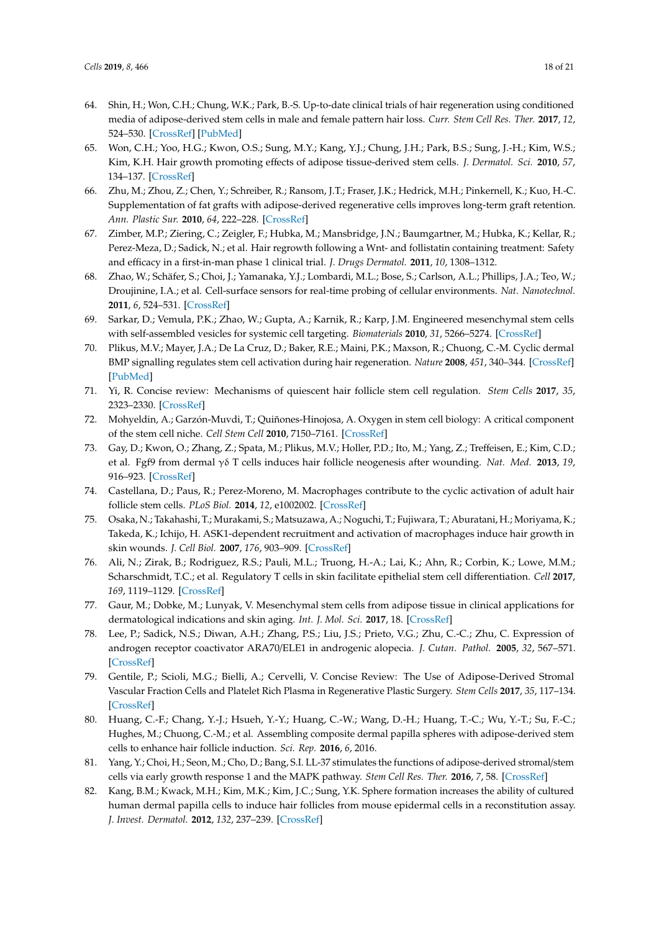- <span id="page-17-0"></span>64. Shin, H.; Won, C.H.; Chung, W.K.; Park, B.-S. Up-to-date clinical trials of hair regeneration using conditioned media of adipose-derived stem cells in male and female pattern hair loss. *Curr. Stem Cell Res. Ther.* **2017**, *12*, 524–530. [\[CrossRef\]](http://dx.doi.org/10.2174/1574888X12666170504120244) [\[PubMed\]](http://www.ncbi.nlm.nih.gov/pubmed/28474542)
- <span id="page-17-1"></span>65. Won, C.H.; Yoo, H.G.; Kwon, O.S.; Sung, M.Y.; Kang, Y.J.; Chung, J.H.; Park, B.S.; Sung, J.-H.; Kim, W.S.; Kim, K.H. Hair growth promoting effects of adipose tissue-derived stem cells. *J. Dermatol. Sci.* **2010**, *57*, 134–137. [\[CrossRef\]](http://dx.doi.org/10.1016/j.jdermsci.2009.10.013)
- <span id="page-17-2"></span>66. Zhu, M.; Zhou, Z.; Chen, Y.; Schreiber, R.; Ransom, J.T.; Fraser, J.K.; Hedrick, M.H.; Pinkernell, K.; Kuo, H.-C. Supplementation of fat grafts with adipose-derived regenerative cells improves long-term graft retention. *Ann. Plastic Sur.* **2010**, *64*, 222–228. [\[CrossRef\]](http://dx.doi.org/10.1097/SAP.0b013e31819ae05c)
- <span id="page-17-3"></span>67. Zimber, M.P.; Ziering, C.; Zeigler, F.; Hubka, M.; Mansbridge, J.N.; Baumgartner, M.; Hubka, K.; Kellar, R.; Perez-Meza, D.; Sadick, N.; et al. Hair regrowth following a Wnt- and follistatin containing treatment: Safety and efficacy in a first-in-man phase 1 clinical trial. *J. Drugs Dermatol.* **2011**, *10*, 1308–1312.
- <span id="page-17-4"></span>68. Zhao, W.; Schäfer, S.; Choi, J.; Yamanaka, Y.J.; Lombardi, M.L.; Bose, S.; Carlson, A.L.; Phillips, J.A.; Teo, W.; Droujinine, I.A.; et al. Cell-surface sensors for real-time probing of cellular environments. *Nat. Nanotechnol.* **2011**, *6*, 524–531. [\[CrossRef\]](http://dx.doi.org/10.1038/nnano.2011.101)
- <span id="page-17-5"></span>69. Sarkar, D.; Vemula, P.K.; Zhao, W.; Gupta, A.; Karnik, R.; Karp, J.M. Engineered mesenchymal stem cells with self-assembled vesicles for systemic cell targeting. *Biomaterials* **2010**, *31*, 5266–5274. [\[CrossRef\]](http://dx.doi.org/10.1016/j.biomaterials.2010.03.006)
- <span id="page-17-6"></span>70. Plikus, M.V.; Mayer, J.A.; De La Cruz, D.; Baker, R.E.; Maini, P.K.; Maxson, R.; Chuong, C.-M. Cyclic dermal BMP signalling regulates stem cell activation during hair regeneration. *Nature* **2008**, *451*, 340–344. [\[CrossRef\]](http://dx.doi.org/10.1038/nature06457) [\[PubMed\]](http://www.ncbi.nlm.nih.gov/pubmed/18202659)
- <span id="page-17-7"></span>71. Yi, R. Concise review: Mechanisms of quiescent hair follicle stem cell regulation. *Stem Cells* **2017**, *35*, 2323–2330. [\[CrossRef\]](http://dx.doi.org/10.1002/stem.2696)
- <span id="page-17-8"></span>72. Mohyeldin, A.; Garzón-Muvdi, T.; Quiñones-Hinojosa, A. Oxygen in stem cell biology: A critical component of the stem cell niche. *Cell Stem Cell* **2010**, 7150–7161. [\[CrossRef\]](http://dx.doi.org/10.1016/j.stem.2010.07.007)
- <span id="page-17-9"></span>73. Gay, D.; Kwon, O.; Zhang, Z.; Spata, M.; Plikus, M.V.; Holler, P.D.; Ito, M.; Yang, Z.; Treffeisen, E.; Kim, C.D.; et al. Fgf9 from dermal γδ T cells induces hair follicle neogenesis after wounding. *Nat. Med.* **2013**, *19*, 916–923. [\[CrossRef\]](http://dx.doi.org/10.1038/nm.3181)
- <span id="page-17-10"></span>74. Castellana, D.; Paus, R.; Perez-Moreno, M. Macrophages contribute to the cyclic activation of adult hair follicle stem cells. *PLoS Biol.* **2014**, *12*, e1002002. [\[CrossRef\]](http://dx.doi.org/10.1371/journal.pbio.1002002)
- <span id="page-17-11"></span>75. Osaka, N.; Takahashi, T.; Murakami, S.; Matsuzawa, A.; Noguchi, T.; Fujiwara, T.; Aburatani, H.; Moriyama, K.; Takeda, K.; Ichijo, H. ASK1-dependent recruitment and activation of macrophages induce hair growth in skin wounds. *J. Cell Biol.* **2007**, *176*, 903–909. [\[CrossRef\]](http://dx.doi.org/10.1083/jcb.200611015)
- <span id="page-17-12"></span>76. Ali, N.; Zirak, B.; Rodriguez, R.S.; Pauli, M.L.; Truong, H.-A.; Lai, K.; Ahn, R.; Corbin, K.; Lowe, M.M.; Scharschmidt, T.C.; et al. Regulatory T cells in skin facilitate epithelial stem cell differentiation. *Cell* **2017**, *169*, 1119–1129. [\[CrossRef\]](http://dx.doi.org/10.1016/j.cell.2017.05.002)
- <span id="page-17-13"></span>77. Gaur, M.; Dobke, M.; Lunyak, V. Mesenchymal stem cells from adipose tissue in clinical applications for dermatological indications and skin aging. *Int. J. Mol. Sci.* **2017**, 18. [\[CrossRef\]](http://dx.doi.org/10.3390/ijms18010208)
- <span id="page-17-14"></span>78. Lee, P.; Sadick, N.S.; Diwan, A.H.; Zhang, P.S.; Liu, J.S.; Prieto, V.G.; Zhu, C.-C.; Zhu, C. Expression of androgen receptor coactivator ARA70/ELE1 in androgenic alopecia. *J. Cutan. Pathol.* **2005**, *32*, 567–571. [\[CrossRef\]](http://dx.doi.org/10.1111/j.0303-6987.2005.00397.x)
- <span id="page-17-15"></span>79. Gentile, P.; Scioli, M.G.; Bielli, A.; Cervelli, V. Concise Review: The Use of Adipose-Derived Stromal Vascular Fraction Cells and Platelet Rich Plasma in Regenerative Plastic Surgery. *Stem Cells* **2017**, *35*, 117–134. [\[CrossRef\]](http://dx.doi.org/10.1002/stem.2498)
- <span id="page-17-16"></span>80. Huang, C.-F.; Chang, Y.-J.; Hsueh, Y.-Y.; Huang, C.-W.; Wang, D.-H.; Huang, T.-C.; Wu, Y.-T.; Su, F.-C.; Hughes, M.; Chuong, C.-M.; et al. Assembling composite dermal papilla spheres with adipose-derived stem cells to enhance hair follicle induction. *Sci. Rep.* **2016**, *6*, 2016.
- <span id="page-17-17"></span>81. Yang, Y.; Choi, H.; Seon, M.; Cho, D.; Bang, S.I. LL-37 stimulates the functions of adipose-derived stromal/stem cells via early growth response 1 and the MAPK pathway. *Stem Cell Res. Ther.* **2016**, *7*, 58. [\[CrossRef\]](http://dx.doi.org/10.1186/s13287-016-0313-4)
- <span id="page-17-18"></span>82. Kang, B.M.; Kwack, M.H.; Kim, M.K.; Kim, J.C.; Sung, Y.K. Sphere formation increases the ability of cultured human dermal papilla cells to induce hair follicles from mouse epidermal cells in a reconstitution assay. *J. Invest. Dermatol.* **2012**, *132*, 237–239. [\[CrossRef\]](http://dx.doi.org/10.1038/jid.2011.250)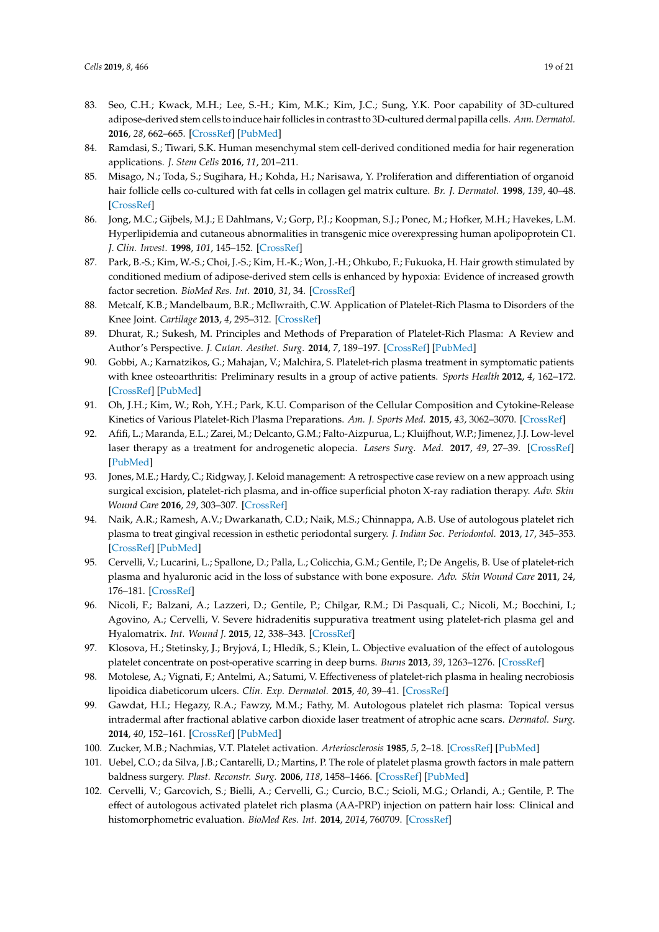- <span id="page-18-0"></span>83. Seo, C.H.; Kwack, M.H.; Lee, S.-H.; Kim, M.K.; Kim, J.C.; Sung, Y.K. Poor capability of 3D-cultured adipose-derived stem cells to induce hair follicles in contrast to 3D-cultured dermal papilla cells. *Ann. Dermatol.* **2016**, *28*, 662–665. [\[CrossRef\]](http://dx.doi.org/10.5021/ad.2016.28.5.662) [\[PubMed\]](http://www.ncbi.nlm.nih.gov/pubmed/27746657)
- <span id="page-18-1"></span>84. Ramdasi, S.; Tiwari, S.K. Human mesenchymal stem cell-derived conditioned media for hair regeneration applications. *J. Stem Cells* **2016**, *11*, 201–211.
- <span id="page-18-2"></span>85. Misago, N.; Toda, S.; Sugihara, H.; Kohda, H.; Narisawa, Y. Proliferation and differentiation of organoid hair follicle cells co-cultured with fat cells in collagen gel matrix culture. *Br. J. Dermatol.* **1998**, *139*, 40–48. [\[CrossRef\]](http://dx.doi.org/10.1046/j.1365-2133.1998.02312.x)
- <span id="page-18-3"></span>86. Jong, M.C.; Gijbels, M.J.; E Dahlmans, V.; Gorp, P.J.; Koopman, S.J.; Ponec, M.; Hofker, M.H.; Havekes, L.M. Hyperlipidemia and cutaneous abnormalities in transgenic mice overexpressing human apolipoprotein C1. *J. Clin. Invest.* **1998**, *101*, 145–152. [\[CrossRef\]](http://dx.doi.org/10.1172/JCI791)
- <span id="page-18-4"></span>87. Park, B.-S.; Kim, W.-S.; Choi, J.-S.; Kim, H.-K.; Won, J.-H.; Ohkubo, F.; Fukuoka, H. Hair growth stimulated by conditioned medium of adipose-derived stem cells is enhanced by hypoxia: Evidence of increased growth factor secretion. *BioMed Res. Int.* **2010**, *31*, 34. [\[CrossRef\]](http://dx.doi.org/10.2220/biomedres.31.27)
- <span id="page-18-5"></span>88. Metcalf, K.B.; Mandelbaum, B.R.; McIlwraith, C.W. Application of Platelet-Rich Plasma to Disorders of the Knee Joint. *Cartilage* **2013**, *4*, 295–312. [\[CrossRef\]](http://dx.doi.org/10.1177/1947603513487553)
- <span id="page-18-6"></span>89. Dhurat, R.; Sukesh, M. Principles and Methods of Preparation of Platelet-Rich Plasma: A Review and Author's Perspective. *J. Cutan. Aesthet. Surg.* **2014**, *7*, 189–197. [\[CrossRef\]](http://dx.doi.org/10.4103/0974-2077.150734) [\[PubMed\]](http://www.ncbi.nlm.nih.gov/pubmed/25722595)
- <span id="page-18-7"></span>90. Gobbi, A.; Karnatzikos, G.; Mahajan, V.; Malchira, S. Platelet-rich plasma treatment in symptomatic patients with knee osteoarthritis: Preliminary results in a group of active patients. *Sports Health* **2012**, *4*, 162–172. [\[CrossRef\]](http://dx.doi.org/10.1177/1941738111431801) [\[PubMed\]](http://www.ncbi.nlm.nih.gov/pubmed/23016084)
- <span id="page-18-8"></span>91. Oh, J.H.; Kim, W.; Roh, Y.H.; Park, K.U. Comparison of the Cellular Composition and Cytokine-Release Kinetics of Various Platelet-Rich Plasma Preparations. *Am. J. Sports Med.* **2015**, *43*, 3062–3070. [\[CrossRef\]](http://dx.doi.org/10.1177/0363546515608481)
- <span id="page-18-9"></span>92. Afifi, L.; Maranda, E.L.; Zarei, M.; Delcanto, G.M.; Falto-Aizpurua, L.; Kluijfhout, W.P.; Jimenez, J.J. Low-level laser therapy as a treatment for androgenetic alopecia. *Lasers Surg. Med.* **2017**, *49*, 27–39. [\[CrossRef\]](http://dx.doi.org/10.1002/lsm.22512) [\[PubMed\]](http://www.ncbi.nlm.nih.gov/pubmed/27114071)
- <span id="page-18-10"></span>93. Jones, M.E.; Hardy, C.; Ridgway, J. Keloid management: A retrospective case review on a new approach using surgical excision, platelet-rich plasma, and in-office superficial photon X-ray radiation therapy. *Adv. Skin Wound Care* **2016**, *29*, 303–307. [\[CrossRef\]](http://dx.doi.org/10.1097/01.ASW.0000482993.64811.74)
- <span id="page-18-11"></span>94. Naik, A.R.; Ramesh, A.V.; Dwarkanath, C.D.; Naik, M.S.; Chinnappa, A.B. Use of autologous platelet rich plasma to treat gingival recession in esthetic periodontal surgery. *J. Indian Soc. Periodontol.* **2013**, *17*, 345–353. [\[CrossRef\]](http://dx.doi.org/10.4103/0972-124X.115665) [\[PubMed\]](http://www.ncbi.nlm.nih.gov/pubmed/24049336)
- <span id="page-18-12"></span>95. Cervelli, V.; Lucarini, L.; Spallone, D.; Palla, L.; Colicchia, G.M.; Gentile, P.; De Angelis, B. Use of platelet-rich plasma and hyaluronic acid in the loss of substance with bone exposure. *Adv. Skin Wound Care* **2011**, *24*, 176–181. [\[CrossRef\]](http://dx.doi.org/10.1097/01.ASW.0000396302.05959.d3)
- <span id="page-18-13"></span>96. Nicoli, F.; Balzani, A.; Lazzeri, D.; Gentile, P.; Chilgar, R.M.; Di Pasquali, C.; Nicoli, M.; Bocchini, I.; Agovino, A.; Cervelli, V. Severe hidradenitis suppurativa treatment using platelet-rich plasma gel and Hyalomatrix. *Int. Wound J.* **2015**, *12*, 338–343. [\[CrossRef\]](http://dx.doi.org/10.1111/iwj.12117)
- <span id="page-18-14"></span>97. Klosova, H.; Stetinsky, J.; Bryjová, I.; Hledík, S.; Klein, L. Objective evaluation of the effect of autologous platelet concentrate on post-operative scarring in deep burns. *Burns* **2013**, *39*, 1263–1276. [\[CrossRef\]](http://dx.doi.org/10.1016/j.burns.2013.01.020)
- <span id="page-18-15"></span>98. Motolese, A.; Vignati, F.; Antelmi, A.; Satumi, V. Effectiveness of platelet-rich plasma in healing necrobiosis lipoidica diabeticorum ulcers. *Clin. Exp. Dermatol.* **2015**, *40*, 39–41. [\[CrossRef\]](http://dx.doi.org/10.1111/ced.12474)
- <span id="page-18-16"></span>99. Gawdat, H.I.; Hegazy, R.A.; Fawzy, M.M.; Fathy, M. Autologous platelet rich plasma: Topical versus intradermal after fractional ablative carbon dioxide laser treatment of atrophic acne scars. *Dermatol. Surg.* **2014**, *40*, 152–161. [\[CrossRef\]](http://dx.doi.org/10.1111/dsu.12392) [\[PubMed\]](http://www.ncbi.nlm.nih.gov/pubmed/24354616)
- <span id="page-18-17"></span>100. Zucker, M.B.; Nachmias, V.T. Platelet activation. *Arteriosclerosis* **1985**, *5*, 2–18. [\[CrossRef\]](http://dx.doi.org/10.1161/01.ATV.5.1.2) [\[PubMed\]](http://www.ncbi.nlm.nih.gov/pubmed/2981527)
- <span id="page-18-18"></span>101. Uebel, C.O.; da Silva, J.B.; Cantarelli, D.; Martins, P. The role of platelet plasma growth factors in male pattern baldness surgery. *Plast. Reconstr. Surg.* **2006**, *118*, 1458–1466. [\[CrossRef\]](http://dx.doi.org/10.1097/01.prs.0000239560.29172.33) [\[PubMed\]](http://www.ncbi.nlm.nih.gov/pubmed/17051119)
- <span id="page-18-19"></span>102. Cervelli, V.; Garcovich, S.; Bielli, A.; Cervelli, G.; Curcio, B.C.; Scioli, M.G.; Orlandi, A.; Gentile, P. The effect of autologous activated platelet rich plasma (AA-PRP) injection on pattern hair loss: Clinical and histomorphometric evaluation. *BioMed Res. Int.* **2014**, *2014*, 760709. [\[CrossRef\]](http://dx.doi.org/10.1155/2014/760709)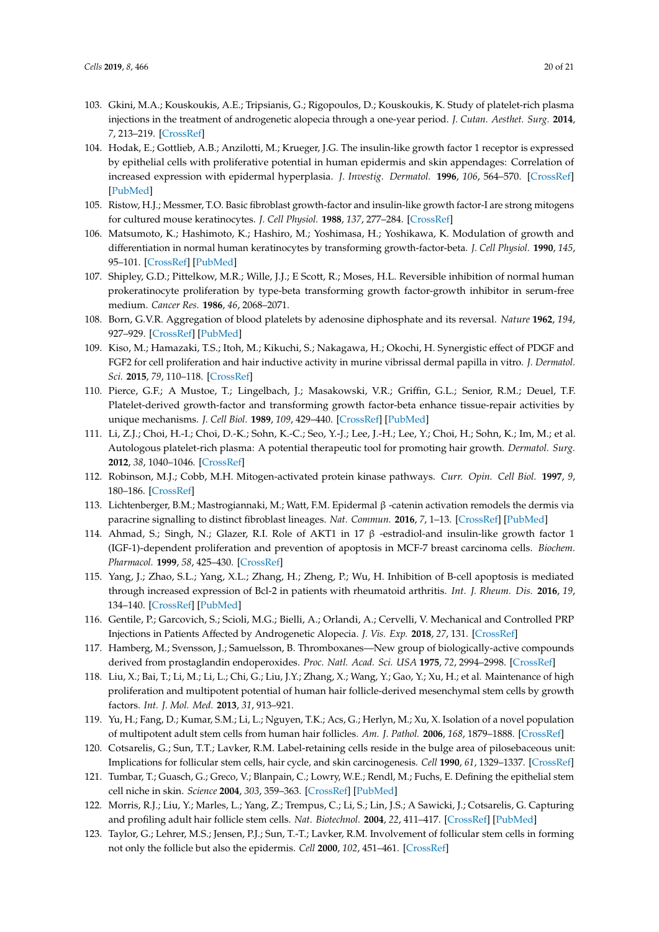- <span id="page-19-0"></span>103. Gkini, M.A.; Kouskoukis, A.E.; Tripsianis, G.; Rigopoulos, D.; Kouskoukis, K. Study of platelet-rich plasma injections in the treatment of androgenetic alopecia through a one-year period. *J. Cutan. Aesthet. Surg.* **2014**, *7*, 213–219. [\[CrossRef\]](http://dx.doi.org/10.4103/0974-2077.150743)
- <span id="page-19-1"></span>104. Hodak, E.; Gottlieb, A.B.; Anzilotti, M.; Krueger, J.G. The insulin-like growth factor 1 receptor is expressed by epithelial cells with proliferative potential in human epidermis and skin appendages: Correlation of increased expression with epidermal hyperplasia. *J. Investig. Dermatol.* **1996**, *106*, 564–570. [\[CrossRef\]](http://dx.doi.org/10.1111/1523-1747.ep12344044) [\[PubMed\]](http://www.ncbi.nlm.nih.gov/pubmed/8648195)
- <span id="page-19-2"></span>105. Ristow, H.J.; Messmer, T.O. Basic fibroblast growth-factor and insulin-like growth factor-I are strong mitogens for cultured mouse keratinocytes. *J. Cell Physiol.* **1988**, *137*, 277–284. [\[CrossRef\]](http://dx.doi.org/10.1002/jcp.1041370210)
- <span id="page-19-3"></span>106. Matsumoto, K.; Hashimoto, K.; Hashiro, M.; Yoshimasa, H.; Yoshikawa, K. Modulation of growth and differentiation in normal human keratinocytes by transforming growth-factor-beta. *J. Cell Physiol.* **1990**, *145*, 95–101. [\[CrossRef\]](http://dx.doi.org/10.1002/jcp.1041450114) [\[PubMed\]](http://www.ncbi.nlm.nih.gov/pubmed/2211846)
- <span id="page-19-4"></span>107. Shipley, G.D.; Pittelkow, M.R.; Wille, J.J.; E Scott, R.; Moses, H.L. Reversible inhibition of normal human prokeratinocyte proliferation by type-beta transforming growth factor-growth inhibitor in serum-free medium. *Cancer Res.* **1986**, *46*, 2068–2071.
- <span id="page-19-5"></span>108. Born, G.V.R. Aggregation of blood platelets by adenosine diphosphate and its reversal. *Nature* **1962**, *194*, 927–929. [\[CrossRef\]](http://dx.doi.org/10.1038/194927b0) [\[PubMed\]](http://www.ncbi.nlm.nih.gov/pubmed/13871375)
- <span id="page-19-6"></span>109. Kiso, M.; Hamazaki, T.S.; Itoh, M.; Kikuchi, S.; Nakagawa, H.; Okochi, H. Synergistic effect of PDGF and FGF2 for cell proliferation and hair inductive activity in murine vibrissal dermal papilla in vitro. *J. Dermatol. Sci.* **2015**, *79*, 110–118. [\[CrossRef\]](http://dx.doi.org/10.1016/j.jdermsci.2015.04.007)
- <span id="page-19-7"></span>110. Pierce, G.F.; A Mustoe, T.; Lingelbach, J.; Masakowski, V.R.; Griffin, G.L.; Senior, R.M.; Deuel, T.F. Platelet-derived growth-factor and transforming growth factor-beta enhance tissue-repair activities by unique mechanisms. *J. Cell Biol.* **1989**, *109*, 429–440. [\[CrossRef\]](http://dx.doi.org/10.1083/jcb.109.1.429) [\[PubMed\]](http://www.ncbi.nlm.nih.gov/pubmed/2745556)
- <span id="page-19-8"></span>111. Li, Z.J.; Choi, H.-I.; Choi, D.-K.; Sohn, K.-C.; Seo, Y.-J.; Lee, J.-H.; Lee, Y.; Choi, H.; Sohn, K.; Im, M.; et al. Autologous platelet-rich plasma: A potential therapeutic tool for promoting hair growth. *Dermatol. Surg.* **2012**, *38*, 1040–1046. [\[CrossRef\]](http://dx.doi.org/10.1111/j.1524-4725.2012.02394.x)
- <span id="page-19-9"></span>112. Robinson, M.J.; Cobb, M.H. Mitogen-activated protein kinase pathways. *Curr. Opin. Cell Biol.* **1997**, *9*, 180–186. [\[CrossRef\]](http://dx.doi.org/10.1016/S0955-0674(97)80061-0)
- <span id="page-19-10"></span>113. Lichtenberger, B.M.; Mastrogiannaki, M.; Watt, F.M. Epidermal β -catenin activation remodels the dermis via paracrine signalling to distinct fibroblast lineages. *Nat. Commun.* **2016**, *7*, 1–13. [\[CrossRef\]](http://dx.doi.org/10.1038/ncomms10537) [\[PubMed\]](http://www.ncbi.nlm.nih.gov/pubmed/26837596)
- <span id="page-19-11"></span>114. Ahmad, S.; Singh, N.; Glazer, R.I. Role of AKT1 in 17 β -estradiol-and insulin-like growth factor 1 (IGF-1)-dependent proliferation and prevention of apoptosis in MCF-7 breast carcinoma cells. *Biochem. Pharmacol.* **1999**, *58*, 425–430. [\[CrossRef\]](http://dx.doi.org/10.1016/S0006-2952(99)00125-2)
- <span id="page-19-12"></span>115. Yang, J.; Zhao, S.L.; Yang, X.L.; Zhang, H.; Zheng, P.; Wu, H. Inhibition of B-cell apoptosis is mediated through increased expression of Bcl-2 in patients with rheumatoid arthritis. *Int. J. Rheum. Dis.* **2016**, *19*, 134–140. [\[CrossRef\]](http://dx.doi.org/10.1111/1756-185X.12706) [\[PubMed\]](http://www.ncbi.nlm.nih.gov/pubmed/26176566)
- <span id="page-19-13"></span>116. Gentile, P.; Garcovich, S.; Scioli, M.G.; Bielli, A.; Orlandi, A.; Cervelli, V. Mechanical and Controlled PRP Injections in Patients Affected by Androgenetic Alopecia. *J. Vis. Exp.* **2018**, *27*, 131. [\[CrossRef\]](http://dx.doi.org/10.3791/56406)
- <span id="page-19-14"></span>117. Hamberg, M.; Svensson, J.; Samuelsson, B. Thromboxanes—New group of biologically-active compounds derived from prostaglandin endoperoxides. *Proc. Natl. Acad. Sci. USA* **1975**, *72*, 2994–2998. [\[CrossRef\]](http://dx.doi.org/10.1073/pnas.72.8.2994)
- <span id="page-19-15"></span>118. Liu, X.; Bai, T.; Li, M.; Li, L.; Chi, G.; Liu, J.Y.; Zhang, X.; Wang, Y.; Gao, Y.; Xu, H.; et al. Maintenance of high proliferation and multipotent potential of human hair follicle-derived mesenchymal stem cells by growth factors. *Int. J. Mol. Med.* **2013**, *31*, 913–921.
- <span id="page-19-16"></span>119. Yu, H.; Fang, D.; Kumar, S.M.; Li, L.; Nguyen, T.K.; Acs, G.; Herlyn, M.; Xu, X. Isolation of a novel population of multipotent adult stem cells from human hair follicles. *Am. J. Pathol.* **2006**, *168*, 1879–1888. [\[CrossRef\]](http://dx.doi.org/10.2353/ajpath.2006.051170)
- <span id="page-19-17"></span>120. Cotsarelis, G.; Sun, T.T.; Lavker, R.M. Label-retaining cells reside in the bulge area of pilosebaceous unit: Implications for follicular stem cells, hair cycle, and skin carcinogenesis. *Cell* **1990**, *61*, 1329–1337. [\[CrossRef\]](http://dx.doi.org/10.1016/0092-8674(90)90696-C)
- <span id="page-19-18"></span>121. Tumbar, T.; Guasch, G.; Greco, V.; Blanpain, C.; Lowry, W.E.; Rendl, M.; Fuchs, E. Defining the epithelial stem cell niche in skin. *Science* **2004**, *303*, 359–363. [\[CrossRef\]](http://dx.doi.org/10.1126/science.1092436) [\[PubMed\]](http://www.ncbi.nlm.nih.gov/pubmed/14671312)
- <span id="page-19-19"></span>122. Morris, R.J.; Liu, Y.; Marles, L.; Yang, Z.; Trempus, C.; Li, S.; Lin, J.S.; A Sawicki, J.; Cotsarelis, G. Capturing and profiling adult hair follicle stem cells. *Nat. Biotechnol.* **2004**, *22*, 411–417. [\[CrossRef\]](http://dx.doi.org/10.1038/nbt950) [\[PubMed\]](http://www.ncbi.nlm.nih.gov/pubmed/15024388)
- <span id="page-19-20"></span>123. Taylor, G.; Lehrer, M.S.; Jensen, P.J.; Sun, T.-T.; Lavker, R.M. Involvement of follicular stem cells in forming not only the follicle but also the epidermis. *Cell* **2000**, *102*, 451–461. [\[CrossRef\]](http://dx.doi.org/10.1016/S0092-8674(00)00050-7)